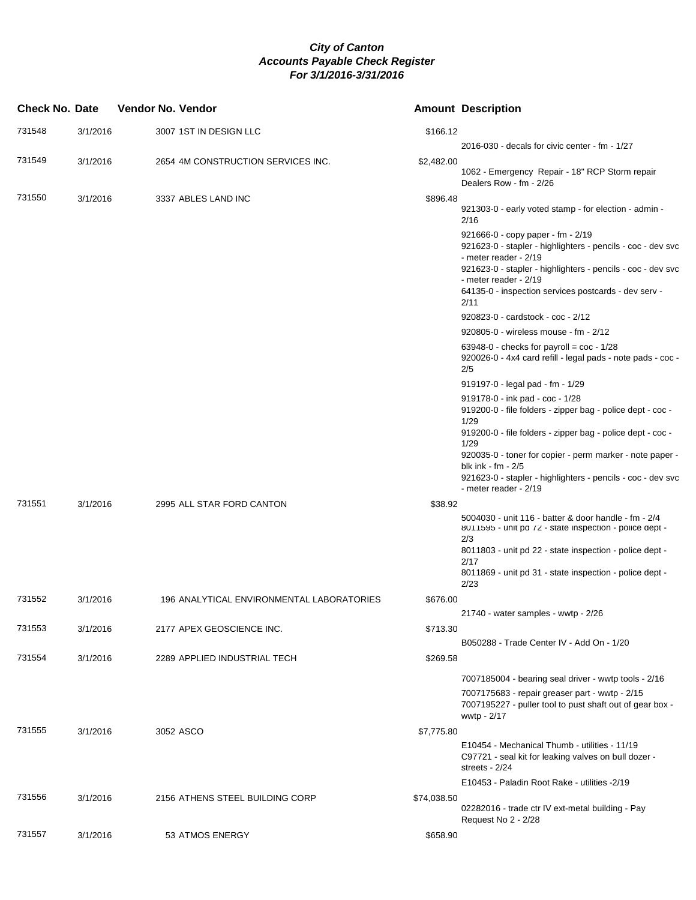| <b>Check No. Date</b> |          | Vendor No. Vendor                         |             | <b>Amount Description</b>                                                                                                                                                                                                                                                                                                                             |
|-----------------------|----------|-------------------------------------------|-------------|-------------------------------------------------------------------------------------------------------------------------------------------------------------------------------------------------------------------------------------------------------------------------------------------------------------------------------------------------------|
| 731548                | 3/1/2016 | 3007 1ST IN DESIGN LLC                    | \$166.12    |                                                                                                                                                                                                                                                                                                                                                       |
| 731549                | 3/1/2016 | 2654 4M CONSTRUCTION SERVICES INC.        | \$2,482.00  | 2016-030 - decals for civic center - fm - 1/27                                                                                                                                                                                                                                                                                                        |
|                       |          |                                           |             | 1062 - Emergency Repair - 18" RCP Storm repair<br>Dealers Row - fm - 2/26                                                                                                                                                                                                                                                                             |
| 731550                | 3/1/2016 | 3337 ABLES LAND INC                       | \$896.48    | 921303-0 - early voted stamp - for election - admin -<br>2/16                                                                                                                                                                                                                                                                                         |
|                       |          |                                           |             | 921666-0 - copy paper - fm - 2/19<br>921623-0 - stapler - highlighters - pencils - coc - dev svc<br>- meter reader - 2/19<br>921623-0 - stapler - highlighters - pencils - coc - dev svc<br>- meter reader - 2/19<br>64135-0 - inspection services postcards - dev serv -<br>2/11                                                                     |
|                       |          |                                           |             | 920823-0 - cardstock - coc - 2/12                                                                                                                                                                                                                                                                                                                     |
|                       |          |                                           |             | 920805-0 - wireless mouse - fm - 2/12                                                                                                                                                                                                                                                                                                                 |
|                       |          |                                           |             | 63948-0 - checks for payroll = $\cos - \frac{1}{28}$<br>920026-0 - 4x4 card refill - legal pads - note pads - coc -<br>2/5                                                                                                                                                                                                                            |
|                       |          |                                           |             | 919197-0 - legal pad - fm - 1/29                                                                                                                                                                                                                                                                                                                      |
|                       |          |                                           |             | 919178-0 - ink pad - coc - 1/28<br>919200-0 - file folders - zipper bag - police dept - coc -<br>1/29<br>919200-0 - file folders - zipper bag - police dept - coc -<br>1/29<br>920035-0 - toner for copier - perm marker - note paper -<br>blk ink - fm - 2/5<br>921623-0 - stapler - highlighters - pencils - coc - dev svc<br>- meter reader - 2/19 |
| 731551                | 3/1/2016 | 2995 ALL STAR FORD CANTON                 | \$38.92     |                                                                                                                                                                                                                                                                                                                                                       |
|                       |          |                                           |             | 5004030 - unit 116 - batter & door handle - fm - 2/4<br>8011595 - unit pd /2 - state inspection - police dept -<br>2/3<br>8011803 - unit pd 22 - state inspection - police dept -<br>2/17<br>8011869 - unit pd 31 - state inspection - police dept -<br>2/23                                                                                          |
| 731552                | 3/1/2016 | 196 ANALYTICAL ENVIRONMENTAL LABORATORIES | \$676.00    |                                                                                                                                                                                                                                                                                                                                                       |
|                       |          |                                           |             | 21740 - water samples - wwtp - 2/26                                                                                                                                                                                                                                                                                                                   |
| 731553                | 3/1/2016 | 2177 APEX GEOSCIENCE INC.                 | \$713.30    |                                                                                                                                                                                                                                                                                                                                                       |
|                       |          |                                           |             | B050288 - Trade Center IV - Add On - 1/20                                                                                                                                                                                                                                                                                                             |
| 731554                | 3/1/2016 | 2289 APPLIED INDUSTRIAL TECH              | \$269.58    |                                                                                                                                                                                                                                                                                                                                                       |
|                       |          |                                           |             | 7007185004 - bearing seal driver - wwtp tools - 2/16<br>7007175683 - repair greaser part - wwtp - 2/15<br>7007195227 - puller tool to pust shaft out of gear box -<br>wwtp - 2/17                                                                                                                                                                     |
| 731555                | 3/1/2016 | 3052 ASCO                                 | \$7,775.80  |                                                                                                                                                                                                                                                                                                                                                       |
|                       |          |                                           |             | E10454 - Mechanical Thumb - utilities - 11/19<br>C97721 - seal kit for leaking valves on bull dozer -<br>streets - 2/24                                                                                                                                                                                                                               |
|                       |          |                                           |             | E10453 - Paladin Root Rake - utilities -2/19                                                                                                                                                                                                                                                                                                          |
| 731556                | 3/1/2016 | 2156 ATHENS STEEL BUILDING CORP           | \$74,038.50 | 02282016 - trade ctr IV ext-metal building - Pay<br>Request No 2 - 2/28                                                                                                                                                                                                                                                                               |
| 731557                | 3/1/2016 | 53 ATMOS ENERGY                           | \$658.90    |                                                                                                                                                                                                                                                                                                                                                       |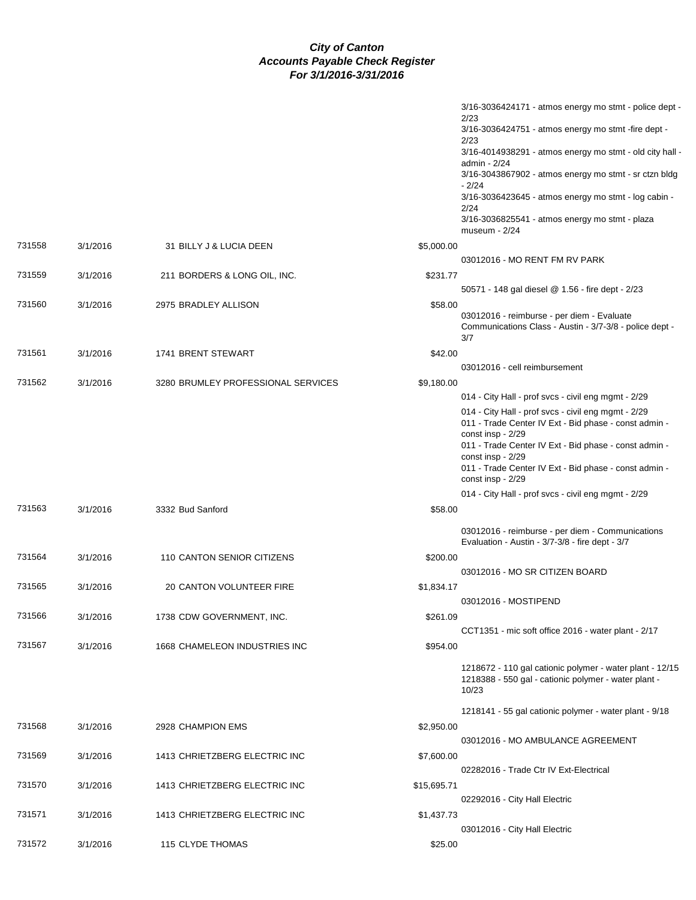|        |          |                                    |             | $3/16 - 3036424171 - \text{atmos energy}$ mo stmt - police dept -                                                                                                                                                                                                        |
|--------|----------|------------------------------------|-------------|--------------------------------------------------------------------------------------------------------------------------------------------------------------------------------------------------------------------------------------------------------------------------|
|        |          |                                    |             | 2/23<br>3/16-3036424751 - atmos energy mo stmt -fire dept -                                                                                                                                                                                                              |
|        |          |                                    |             | 2/23<br>3/16-4014938291 - atmos energy mo stmt - old city hall -                                                                                                                                                                                                         |
|        |          |                                    |             | admin - 2/24<br>3/16-3043867902 - atmos energy mo stmt - sr ctzn bldg                                                                                                                                                                                                    |
|        |          |                                    |             | $-2/24$<br>3/16-3036423645 - atmos energy mo stmt - log cabin -                                                                                                                                                                                                          |
|        |          |                                    |             | 2/24<br>3/16-3036825541 - atmos energy mo stmt - plaza<br>museum - 2/24                                                                                                                                                                                                  |
| 731558 | 3/1/2016 | 31 BILLY J & LUCIA DEEN            | \$5,000.00  |                                                                                                                                                                                                                                                                          |
|        |          |                                    |             | 03012016 - MO RENT FM RV PARK                                                                                                                                                                                                                                            |
| 731559 | 3/1/2016 | 211 BORDERS & LONG OIL, INC.       | \$231.77    | 50571 - 148 gal diesel @ 1.56 - fire dept - 2/23                                                                                                                                                                                                                         |
| 731560 | 3/1/2016 | 2975 BRADLEY ALLISON               | \$58.00     |                                                                                                                                                                                                                                                                          |
|        |          |                                    |             | 03012016 - reimburse - per diem - Evaluate<br>Communications Class - Austin - 3/7-3/8 - police dept -<br>3/7                                                                                                                                                             |
| 731561 | 3/1/2016 | 1741 BRENT STEWART                 | \$42.00     |                                                                                                                                                                                                                                                                          |
|        |          |                                    |             | 03012016 - cell reimbursement                                                                                                                                                                                                                                            |
| 731562 | 3/1/2016 | 3280 BRUMLEY PROFESSIONAL SERVICES | \$9,180.00  |                                                                                                                                                                                                                                                                          |
|        |          |                                    |             | 014 - City Hall - prof svcs - civil eng mgmt - 2/29                                                                                                                                                                                                                      |
|        |          |                                    |             | 014 - City Hall - prof svcs - civil eng mgmt - 2/29<br>011 - Trade Center IV Ext - Bid phase - const admin -<br>const insp - 2/29<br>011 - Trade Center IV Ext - Bid phase - const admin -<br>const insp - 2/29<br>011 - Trade Center IV Ext - Bid phase - const admin - |
|        |          |                                    |             | const insp - 2/29                                                                                                                                                                                                                                                        |
|        |          |                                    |             | 014 - City Hall - prof svcs - civil eng mgmt - 2/29                                                                                                                                                                                                                      |
| 731563 | 3/1/2016 | 3332 Bud Sanford                   | \$58.00     |                                                                                                                                                                                                                                                                          |
|        |          |                                    |             | 03012016 - reimburse - per diem - Communications<br>Evaluation - Austin - 3/7-3/8 - fire dept - 3/7                                                                                                                                                                      |
| 731564 | 3/1/2016 | 110 CANTON SENIOR CITIZENS         | \$200.00    |                                                                                                                                                                                                                                                                          |
|        |          |                                    |             | 03012016 - MO SR CITIZEN BOARD                                                                                                                                                                                                                                           |
| 731565 | 3/1/2016 | 20 CANTON VOLUNTEER FIRE           | \$1,834.17  |                                                                                                                                                                                                                                                                          |
|        |          |                                    |             | 03012016 - MOSTIPEND                                                                                                                                                                                                                                                     |
| 731566 | 3/1/2016 | 1738 CDW GOVERNMENT, INC.          | \$261.09    |                                                                                                                                                                                                                                                                          |
|        |          |                                    |             | CCT1351 - mic soft office 2016 - water plant - 2/17                                                                                                                                                                                                                      |
| 731567 | 3/1/2016 | 1668 CHAMELEON INDUSTRIES INC      | \$954.00    |                                                                                                                                                                                                                                                                          |
|        |          |                                    |             | 1218672 - 110 gal cationic polymer - water plant - 12/15<br>1218388 - 550 gal - cationic polymer - water plant -<br>10/23                                                                                                                                                |
|        |          |                                    |             | 1218141 - 55 gal cationic polymer - water plant - 9/18                                                                                                                                                                                                                   |
| 731568 | 3/1/2016 | 2928 CHAMPION EMS                  | \$2,950.00  |                                                                                                                                                                                                                                                                          |
|        |          |                                    |             | 03012016 - MO AMBULANCE AGREEMENT                                                                                                                                                                                                                                        |
| 731569 | 3/1/2016 | 1413 CHRIETZBERG ELECTRIC INC      | \$7,600.00  |                                                                                                                                                                                                                                                                          |
|        |          |                                    |             | 02282016 - Trade Ctr IV Ext-Electrical                                                                                                                                                                                                                                   |
| 731570 | 3/1/2016 | 1413 CHRIETZBERG ELECTRIC INC      | \$15,695.71 |                                                                                                                                                                                                                                                                          |
|        |          |                                    |             | 02292016 - City Hall Electric                                                                                                                                                                                                                                            |
| 731571 | 3/1/2016 | 1413 CHRIETZBERG ELECTRIC INC      | \$1,437.73  |                                                                                                                                                                                                                                                                          |
|        |          |                                    |             | 03012016 - City Hall Electric                                                                                                                                                                                                                                            |
| 731572 | 3/1/2016 | 115 CLYDE THOMAS                   | \$25.00     |                                                                                                                                                                                                                                                                          |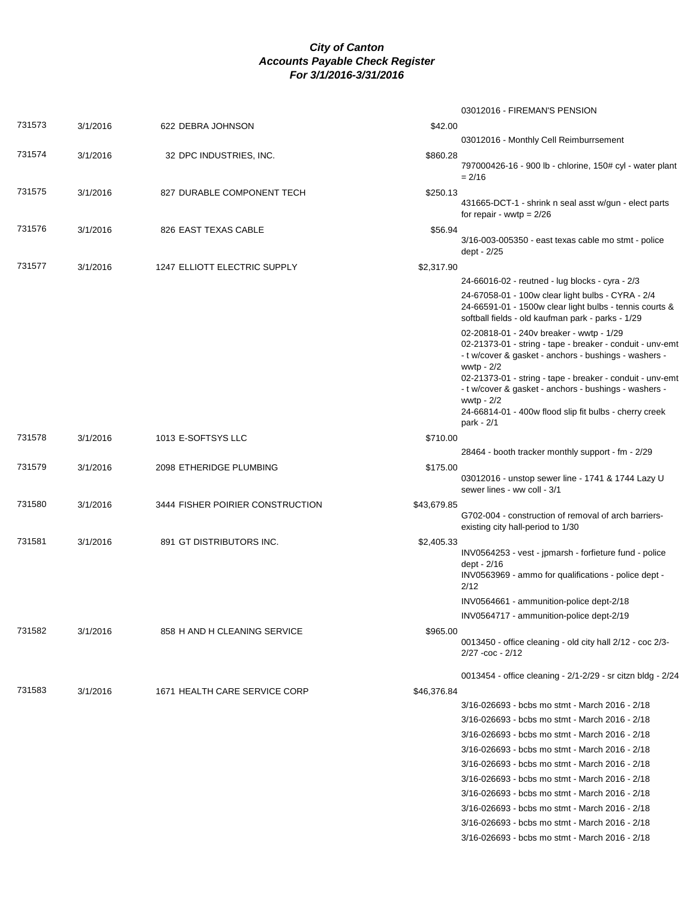|        |          |                                  |             | 03012016 - FIREMAN'S PENSION                                                                                                                                                                                                                                                                                                                                                              |
|--------|----------|----------------------------------|-------------|-------------------------------------------------------------------------------------------------------------------------------------------------------------------------------------------------------------------------------------------------------------------------------------------------------------------------------------------------------------------------------------------|
| 731573 | 3/1/2016 | 622 DEBRA JOHNSON                | \$42.00     |                                                                                                                                                                                                                                                                                                                                                                                           |
|        |          |                                  |             | 03012016 - Monthly Cell Reimburrsement                                                                                                                                                                                                                                                                                                                                                    |
| 731574 | 3/1/2016 | 32 DPC INDUSTRIES, INC.          | \$860.28    | 797000426-16 - 900 lb - chlorine, 150# cyl - water plant<br>$= 2/16$                                                                                                                                                                                                                                                                                                                      |
| 731575 | 3/1/2016 | 827 DURABLE COMPONENT TECH       | \$250.13    | 431665-DCT-1 - shrink n seal asst w/gun - elect parts<br>for repair - wwtp = $2/26$                                                                                                                                                                                                                                                                                                       |
| 731576 | 3/1/2016 | 826 EAST TEXAS CABLE             | \$56.94     | 3/16-003-005350 - east texas cable mo stmt - police<br>dept - 2/25                                                                                                                                                                                                                                                                                                                        |
| 731577 | 3/1/2016 | 1247 ELLIOTT ELECTRIC SUPPLY     | \$2,317.90  |                                                                                                                                                                                                                                                                                                                                                                                           |
|        |          |                                  |             | 24-66016-02 - reutned - lug blocks - cyra - 2/3                                                                                                                                                                                                                                                                                                                                           |
|        |          |                                  |             | 24-67058-01 - 100w clear light bulbs - CYRA - 2/4<br>24-66591-01 - 1500w clear light bulbs - tennis courts &<br>softball fields - old kaufman park - parks - 1/29                                                                                                                                                                                                                         |
|        |          |                                  |             | 02-20818-01 - 240v breaker - wwtp - 1/29<br>02-21373-01 - string - tape - breaker - conduit - unv-emt<br>- t w/cover & gasket - anchors - bushings - washers -<br>wwtp - 2/2<br>02-21373-01 - string - tape - breaker - conduit - unv-emt<br>- t w/cover & gasket - anchors - bushings - washers -<br>wwtp $-2/2$<br>24-66814-01 - 400w flood slip fit bulbs - cherry creek<br>park - 2/1 |
| 731578 | 3/1/2016 | 1013 E-SOFTSYS LLC               | \$710.00    |                                                                                                                                                                                                                                                                                                                                                                                           |
|        |          |                                  |             | 28464 - booth tracker monthly support - fm - 2/29                                                                                                                                                                                                                                                                                                                                         |
| 731579 | 3/1/2016 | 2098 ETHERIDGE PLUMBING          | \$175.00    | 03012016 - unstop sewer line - 1741 & 1744 Lazy U<br>sewer lines - ww coll - 3/1                                                                                                                                                                                                                                                                                                          |
| 731580 | 3/1/2016 | 3444 FISHER POIRIER CONSTRUCTION | \$43,679.85 | G702-004 - construction of removal of arch barriers-<br>existing city hall-period to 1/30                                                                                                                                                                                                                                                                                                 |
| 731581 | 3/1/2016 | 891 GT DISTRIBUTORS INC.         | \$2,405.33  | INV0564253 - vest - jpmarsh - forfieture fund - police<br>dept - 2/16<br>INV0563969 - ammo for qualifications - police dept -<br>2/12                                                                                                                                                                                                                                                     |
|        |          |                                  |             | INV0564661 - ammunition-police dept-2/18                                                                                                                                                                                                                                                                                                                                                  |
|        |          |                                  |             | INV0564717 - ammunition-police dept-2/19                                                                                                                                                                                                                                                                                                                                                  |
| 731582 | 3/1/2016 | 858 H AND H CLEANING SERVICE     | \$965.00    | 0013450 - office cleaning - old city hall 2/12 - coc 2/3-<br>$2/27 - \cos - 2/12$                                                                                                                                                                                                                                                                                                         |
|        |          |                                  |             | 0013454 - office cleaning - 2/1-2/29 - sr citzn bldg - 2/24                                                                                                                                                                                                                                                                                                                               |
| 731583 | 3/1/2016 | 1671 HEALTH CARE SERVICE CORP    | \$46,376.84 |                                                                                                                                                                                                                                                                                                                                                                                           |
|        |          |                                  |             | 3/16-026693 - bcbs mo stmt - March 2016 - 2/18                                                                                                                                                                                                                                                                                                                                            |
|        |          |                                  |             | 3/16-026693 - bcbs mo stmt - March 2016 - 2/18                                                                                                                                                                                                                                                                                                                                            |
|        |          |                                  |             | 3/16-026693 - bcbs mo stmt - March 2016 - 2/18                                                                                                                                                                                                                                                                                                                                            |
|        |          |                                  |             | 3/16-026693 - bcbs mo stmt - March 2016 - 2/18                                                                                                                                                                                                                                                                                                                                            |
|        |          |                                  |             | 3/16-026693 - bcbs mo stmt - March 2016 - 2/18                                                                                                                                                                                                                                                                                                                                            |
|        |          |                                  |             | 3/16-026693 - bcbs mo stmt - March 2016 - 2/18                                                                                                                                                                                                                                                                                                                                            |
|        |          |                                  |             | 3/16-026693 - bcbs mo stmt - March 2016 - 2/18                                                                                                                                                                                                                                                                                                                                            |
|        |          |                                  |             | 3/16-026693 - bcbs mo stmt - March 2016 - 2/18                                                                                                                                                                                                                                                                                                                                            |
|        |          |                                  |             |                                                                                                                                                                                                                                                                                                                                                                                           |
|        |          |                                  |             | 3/16-026693 - bcbs mo stmt - March 2016 - 2/18<br>3/16-026693 - bcbs mo stmt - March 2016 - 2/18                                                                                                                                                                                                                                                                                          |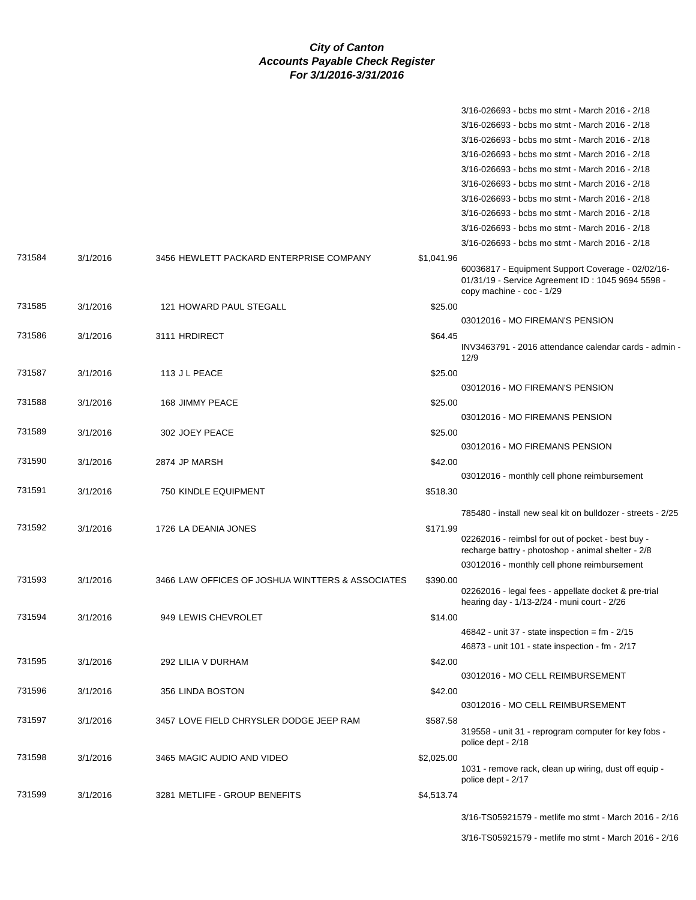|        |          |                                                  |            | 3/16-026693 - bcbs mo stmt - March 2016 - 2/18                                                                                      |
|--------|----------|--------------------------------------------------|------------|-------------------------------------------------------------------------------------------------------------------------------------|
|        |          |                                                  |            | 3/16-026693 - bcbs mo stmt - March 2016 - 2/18                                                                                      |
|        |          |                                                  |            | 3/16-026693 - bcbs mo stmt - March 2016 - 2/18                                                                                      |
|        |          |                                                  |            | 3/16-026693 - bcbs mo stmt - March 2016 - 2/18                                                                                      |
|        |          |                                                  |            | 3/16-026693 - bcbs mo stmt - March 2016 - 2/18                                                                                      |
|        |          |                                                  |            | 3/16-026693 - bcbs mo stmt - March 2016 - 2/18                                                                                      |
|        |          |                                                  |            | 3/16-026693 - bcbs mo stmt - March 2016 - 2/18                                                                                      |
|        |          |                                                  |            | 3/16-026693 - bcbs mo stmt - March 2016 - 2/18                                                                                      |
|        |          |                                                  |            | 3/16-026693 - bcbs mo stmt - March 2016 - 2/18                                                                                      |
|        |          |                                                  |            | 3/16-026693 - bcbs mo stmt - March 2016 - 2/18                                                                                      |
| 731584 | 3/1/2016 | 3456 HEWLETT PACKARD ENTERPRISE COMPANY          | \$1,041.96 |                                                                                                                                     |
|        |          |                                                  |            | 60036817 - Equipment Support Coverage - 02/02/16-<br>01/31/19 - Service Agreement ID: 1045 9694 5598 -<br>copy machine - coc - 1/29 |
| 731585 | 3/1/2016 | 121 HOWARD PAUL STEGALL                          | \$25.00    |                                                                                                                                     |
|        |          |                                                  |            | 03012016 - MO FIREMAN'S PENSION                                                                                                     |
| 731586 | 3/1/2016 | 3111 HRDIRECT                                    | \$64.45    |                                                                                                                                     |
|        |          |                                                  |            | INV3463791 - 2016 attendance calendar cards - admin -<br>12/9                                                                       |
| 731587 | 3/1/2016 | 113 J L PEACE                                    | \$25.00    |                                                                                                                                     |
|        |          |                                                  |            | 03012016 - MO FIREMAN'S PENSION                                                                                                     |
| 731588 | 3/1/2016 | 168 JIMMY PEACE                                  | \$25.00    |                                                                                                                                     |
|        |          |                                                  |            | 03012016 - MO FIREMANS PENSION                                                                                                      |
| 731589 | 3/1/2016 | 302 JOEY PEACE                                   | \$25.00    |                                                                                                                                     |
|        |          |                                                  |            | 03012016 - MO FIREMANS PENSION                                                                                                      |
| 731590 | 3/1/2016 | 2874 JP MARSH                                    | \$42.00    |                                                                                                                                     |
|        |          |                                                  |            | 03012016 - monthly cell phone reimbursement                                                                                         |
| 731591 | 3/1/2016 | <b>750 KINDLE EQUIPMENT</b>                      | \$518.30   |                                                                                                                                     |
|        |          |                                                  |            |                                                                                                                                     |
|        |          |                                                  |            | 785480 - install new seal kit on bulldozer - streets - 2/25                                                                         |
| 731592 | 3/1/2016 | 1726 LA DEANIA JONES                             | \$171.99   | 02262016 - reimbsl for out of pocket - best buy -<br>recharge battry - photoshop - animal shelter - 2/8                             |
|        |          |                                                  |            | 03012016 - monthly cell phone reimbursement                                                                                         |
| 731593 | 3/1/2016 | 3466 LAW OFFICES OF JOSHUA WINTTERS & ASSOCIATES | \$390.00   |                                                                                                                                     |
|        |          |                                                  |            | 02262016 - legal fees - appellate docket & pre-trial<br>hearing day - 1/13-2/24 - muni court - 2/26                                 |
| 731594 | 3/1/2016 | 949 LEWIS CHEVROLET                              | \$14.00    |                                                                                                                                     |
|        |          |                                                  |            | $46842$ - unit 37 - state inspection = fm - 2/15                                                                                    |
|        |          |                                                  |            | 46873 - unit 101 - state inspection - fm - 2/17                                                                                     |
| 731595 | 3/1/2016 | 292 LILIA V DURHAM                               | \$42.00    |                                                                                                                                     |
|        |          |                                                  |            | 03012016 - MO CELL REIMBURSEMENT                                                                                                    |
| 731596 | 3/1/2016 | 356 LINDA BOSTON                                 | \$42.00    |                                                                                                                                     |
|        |          |                                                  |            | 03012016 - MO CELL REIMBURSEMENT                                                                                                    |
| 731597 | 3/1/2016 | 3457 LOVE FIELD CHRYSLER DODGE JEEP RAM          | \$587.58   |                                                                                                                                     |
|        |          |                                                  |            | 319558 - unit 31 - reprogram computer for key fobs -<br>police dept - 2/18                                                          |
| 731598 | 3/1/2016 | 3465 MAGIC AUDIO AND VIDEO                       | \$2,025.00 |                                                                                                                                     |
|        |          |                                                  |            | 1031 - remove rack, clean up wiring, dust off equip -<br>police dept - 2/17                                                         |
| 731599 | 3/1/2016 | 3281 METLIFE - GROUP BENEFITS                    | \$4,513.74 |                                                                                                                                     |
|        |          |                                                  |            | 3/16-TS05921579 - metlife mo stmt - March 2016 - 2/16                                                                               |
|        |          |                                                  |            | 3/16-TS05921579 - metlife mo stmt - March 2016 - 2/16                                                                               |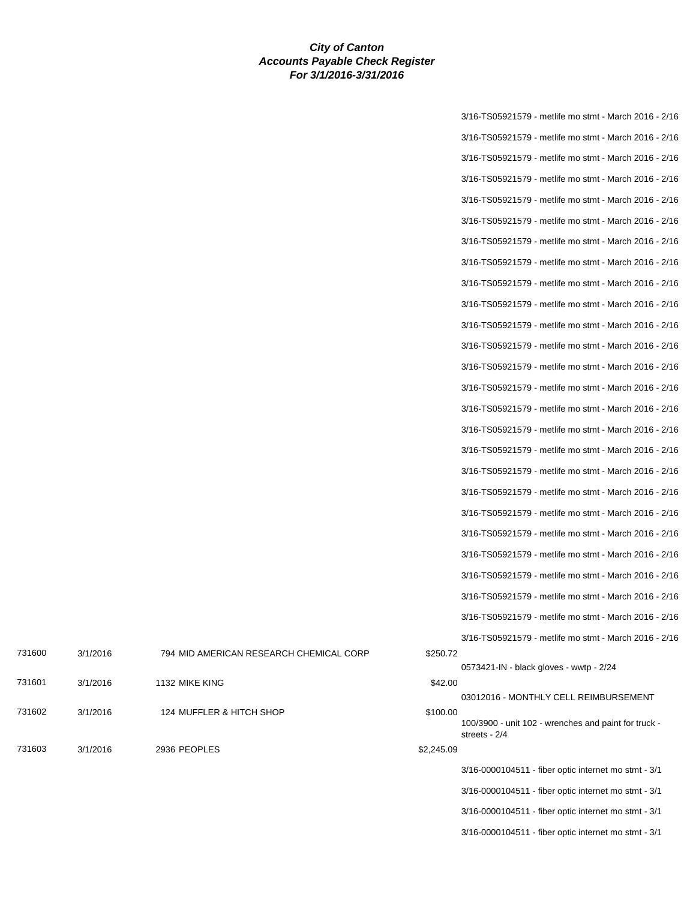|            | 3/16-TS05921579 - metlife mo stmt - March 2016 - 2/16 |
|------------|-------------------------------------------------------|
|            | 3/16-TS05921579 - metlife mo stmt - March 2016 - 2/16 |
|            | 3/16-TS05921579 - metlife mo stmt - March 2016 - 2/16 |
|            | 3/16-TS05921579 - metlife mo stmt - March 2016 - 2/16 |
|            | 3/16-TS05921579 - metlife mo stmt - March 2016 - 2/16 |
|            | 3/16-TS05921579 - metlife mo stmt - March 2016 - 2/16 |
|            | 3/16-TS05921579 - metlife mo stmt - March 2016 - 2/16 |
|            | 3/16-TS05921579 - metlife mo stmt - March 2016 - 2/16 |
|            | 3/16-TS05921579 - metlife mo stmt - March 2016 - 2/16 |
|            | 3/16-TS05921579 - metlife mo stmt - March 2016 - 2/16 |
|            | 3/16-TS05921579 - metlife mo stmt - March 2016 - 2/16 |
|            | 3/16-TS05921579 - metlife mo stmt - March 2016 - 2/16 |
|            | 3/16-TS05921579 - metlife mo stmt - March 2016 - 2/16 |
|            | 3/16-TS05921579 - metlife mo stmt - March 2016 - 2/16 |
|            | 3/16-TS05921579 - metlife mo stmt - March 2016 - 2/16 |
|            | 3/16-TS05921579 - metlife mo stmt - March 2016 - 2/16 |
|            | 3/16-TS05921579 - metlife mo stmt - March 2016 - 2/16 |
|            | 3/16-TS05921579 - metlife mo stmt - March 2016 - 2/16 |
|            | 3/16-TS05921579 - metlife mo stmt - March 2016 - 2/16 |
|            | 3/16-TS05921579 - metlife mo stmt - March 2016 - 2/16 |
|            | 3/16-TS05921579 - metlife mo stmt - March 2016 - 2/16 |
|            | 3/16-TS05921579 - metlife mo stmt - March 2016 - 2/16 |
|            | 3/16-TS05921579 - metlife mo stmt - March 2016 - 2/16 |
|            | 3/16-TS05921579 - metlife mo stmt - March 2016 - 2/16 |
|            | 3/16-TS05921579 - metlife mo stmt - March 2016 - 2/16 |
|            | 3/16-TS05921579 - metlife mo stmt - March 2016 - 2/16 |
| \$250.72   | 0573421-IN - black gloves - wwtp - 2/24               |
| \$42.00    |                                                       |
|            | 03012016 - MONTHLY CELL REIMBURSEMENT                 |
| \$100.00   | 100/3900 - unit 102 - wrenches and paint for truck -  |
| \$2,245.09 | streets - 2/4                                         |
|            | 3/16-0000104511 - fiber optic internet mo stmt - 3/1  |
|            | 3/16-0000104511 - fiber optic internet mo stmt - 3/1  |
|            | 3/16-0000104511 - fiber optic internet mo stmt - 3/1  |
|            | 3/16-0000104511 - fiber optic internet mo stmt - 3/1  |

| 731601 | 3/1/2016 | 1132 MIKE KING           | \$42.00  |
|--------|----------|--------------------------|----------|
| 731602 | 3/1/2016 | 124 MUFFLER & HITCH SHOP | \$100.00 |

731600 3/1/2016 794 MID AMERICAN RESEARCH CHEMICAL CORP

731603 3/1/2016 2936 PEOPLES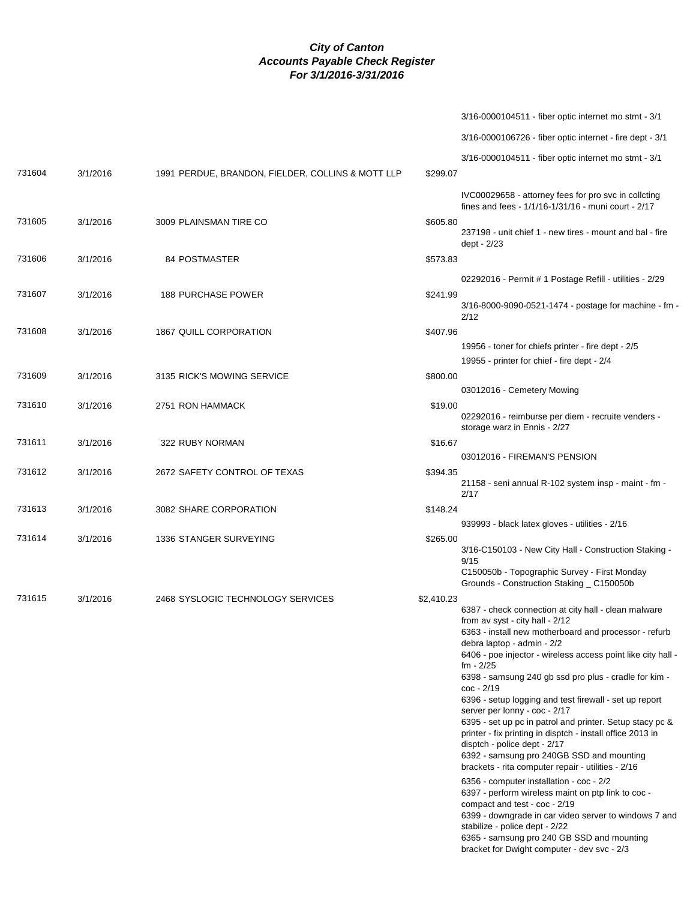|        |          |                                                   | 3/16-0000104511 - fiber optic internet mo stmt - 3/1                                                                                                                                                                                                                                                                                                                                                                                                                                                                                                                                                                                                                                                                                              |
|--------|----------|---------------------------------------------------|---------------------------------------------------------------------------------------------------------------------------------------------------------------------------------------------------------------------------------------------------------------------------------------------------------------------------------------------------------------------------------------------------------------------------------------------------------------------------------------------------------------------------------------------------------------------------------------------------------------------------------------------------------------------------------------------------------------------------------------------------|
|        |          |                                                   | 3/16-0000106726 - fiber optic internet - fire dept - 3/1                                                                                                                                                                                                                                                                                                                                                                                                                                                                                                                                                                                                                                                                                          |
|        |          |                                                   | 3/16-0000104511 - fiber optic internet mo stmt - 3/1                                                                                                                                                                                                                                                                                                                                                                                                                                                                                                                                                                                                                                                                                              |
| 731604 | 3/1/2016 | 1991 PERDUE, BRANDON, FIELDER, COLLINS & MOTT LLP | \$299.07                                                                                                                                                                                                                                                                                                                                                                                                                                                                                                                                                                                                                                                                                                                                          |
|        |          |                                                   | IVC00029658 - attorney fees for pro svc in collcting<br>fines and fees - 1/1/16-1/31/16 - muni court - 2/17                                                                                                                                                                                                                                                                                                                                                                                                                                                                                                                                                                                                                                       |
| 731605 | 3/1/2016 | 3009 PLAINSMAN TIRE CO                            | \$605.80<br>237198 - unit chief 1 - new tires - mount and bal - fire<br>dept - 2/23                                                                                                                                                                                                                                                                                                                                                                                                                                                                                                                                                                                                                                                               |
| 731606 | 3/1/2016 | 84 POSTMASTER                                     | \$573.83                                                                                                                                                                                                                                                                                                                                                                                                                                                                                                                                                                                                                                                                                                                                          |
|        |          |                                                   | 02292016 - Permit # 1 Postage Refill - utilities - 2/29                                                                                                                                                                                                                                                                                                                                                                                                                                                                                                                                                                                                                                                                                           |
| 731607 | 3/1/2016 | <b>188 PURCHASE POWER</b>                         | \$241.99<br>3/16-8000-9090-0521-1474 - postage for machine - fm -<br>2/12                                                                                                                                                                                                                                                                                                                                                                                                                                                                                                                                                                                                                                                                         |
| 731608 | 3/1/2016 | 1867 QUILL CORPORATION                            | \$407.96                                                                                                                                                                                                                                                                                                                                                                                                                                                                                                                                                                                                                                                                                                                                          |
|        |          |                                                   | 19956 - toner for chiefs printer - fire dept - 2/5<br>19955 - printer for chief - fire dept - 2/4                                                                                                                                                                                                                                                                                                                                                                                                                                                                                                                                                                                                                                                 |
| 731609 | 3/1/2016 | 3135 RICK'S MOWING SERVICE                        | \$800.00                                                                                                                                                                                                                                                                                                                                                                                                                                                                                                                                                                                                                                                                                                                                          |
|        |          |                                                   | 03012016 - Cemetery Mowing                                                                                                                                                                                                                                                                                                                                                                                                                                                                                                                                                                                                                                                                                                                        |
| 731610 | 3/1/2016 | 2751 RON HAMMACK                                  | \$19.00<br>02292016 - reimburse per diem - recruite venders -                                                                                                                                                                                                                                                                                                                                                                                                                                                                                                                                                                                                                                                                                     |
|        |          |                                                   | storage warz in Ennis - 2/27                                                                                                                                                                                                                                                                                                                                                                                                                                                                                                                                                                                                                                                                                                                      |
| 731611 | 3/1/2016 | 322 RUBY NORMAN                                   | \$16.67                                                                                                                                                                                                                                                                                                                                                                                                                                                                                                                                                                                                                                                                                                                                           |
|        |          |                                                   | 03012016 - FIREMAN'S PENSION                                                                                                                                                                                                                                                                                                                                                                                                                                                                                                                                                                                                                                                                                                                      |
| 731612 | 3/1/2016 | 2672 SAFETY CONTROL OF TEXAS                      | \$394.35<br>21158 - seni annual R-102 system insp - maint - fm -<br>2/17                                                                                                                                                                                                                                                                                                                                                                                                                                                                                                                                                                                                                                                                          |
| 731613 | 3/1/2016 | 3082 SHARE CORPORATION                            | \$148.24                                                                                                                                                                                                                                                                                                                                                                                                                                                                                                                                                                                                                                                                                                                                          |
|        |          |                                                   | 939993 - black latex gloves - utilities - 2/16                                                                                                                                                                                                                                                                                                                                                                                                                                                                                                                                                                                                                                                                                                    |
| 731614 | 3/1/2016 | 1336 STANGER SURVEYING                            | \$265.00<br>3/16-C150103 - New City Hall - Construction Staking -<br>9/15<br>C150050b - Topographic Survey - First Monday<br>Grounds - Construction Staking _ C150050b                                                                                                                                                                                                                                                                                                                                                                                                                                                                                                                                                                            |
| 731615 | 3/1/2016 | 2468 SYSLOGIC TECHNOLOGY SERVICES                 | \$2,410.23                                                                                                                                                                                                                                                                                                                                                                                                                                                                                                                                                                                                                                                                                                                                        |
|        |          |                                                   | 6387 - check connection at city hall - clean malware<br>from av syst - city hall - 2/12<br>6363 - install new motherboard and processor - refurb<br>debra laptop - admin - 2/2<br>6406 - poe injector - wireless access point like city hall -<br>$fm - 2/25$<br>6398 - samsung 240 gb ssd pro plus - cradle for kim -<br>$\text{coc} - 2/19$<br>6396 - setup logging and test firewall - set up report<br>server per lonny - coc - 2/17<br>6395 - set up pc in patrol and printer. Setup stacy pc &<br>printer - fix printing in disptch - install office 2013 in<br>disptch - police dept - 2/17<br>6392 - samsung pro 240GB SSD and mounting<br>brackets - rita computer repair - utilities - 2/16<br>6356 - computer installation - coc - 2/2 |
|        |          |                                                   | 6397 - perform wireless maint on ptp link to coc -<br>compact and test - coc - 2/19<br>6399 - downgrade in car video server to windows 7 and<br>stabilize - police dept - 2/22<br>6365 - samsung pro 240 GB SSD and mounting<br>bracket for Dwight computer - dev svc - 2/3                                                                                                                                                                                                                                                                                                                                                                                                                                                                       |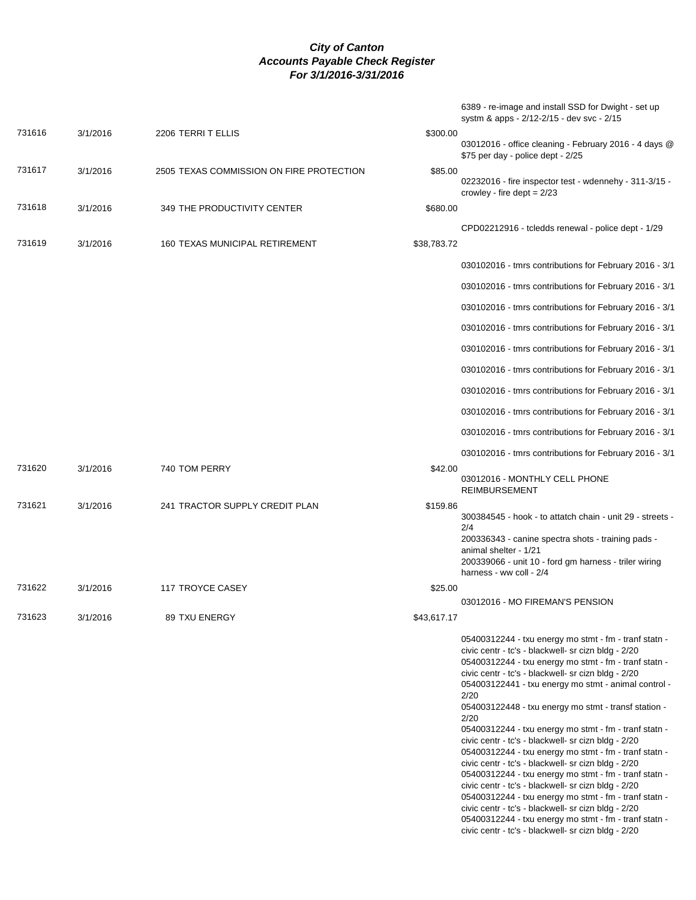|        |          |                                          | 6389 - re-image and install SSD for Dwight - set up<br>systm & apps - 2/12-2/15 - dev svc - 2/15                                                                                                                                                                                                                                                                                                                                                                                                                                                                                                                                                                                                                                                                                                                                                                                                                                             |
|--------|----------|------------------------------------------|----------------------------------------------------------------------------------------------------------------------------------------------------------------------------------------------------------------------------------------------------------------------------------------------------------------------------------------------------------------------------------------------------------------------------------------------------------------------------------------------------------------------------------------------------------------------------------------------------------------------------------------------------------------------------------------------------------------------------------------------------------------------------------------------------------------------------------------------------------------------------------------------------------------------------------------------|
| 731616 | 3/1/2016 | 2206 TERRIT ELLIS                        | \$300.00<br>03012016 - office cleaning - February 2016 - 4 days @<br>\$75 per day - police dept - 2/25                                                                                                                                                                                                                                                                                                                                                                                                                                                                                                                                                                                                                                                                                                                                                                                                                                       |
| 731617 | 3/1/2016 | 2505 TEXAS COMMISSION ON FIRE PROTECTION | \$85.00<br>02232016 - fire inspector test - wdennehy - 311-3/15 -<br>crowley - fire dept $= 2/23$                                                                                                                                                                                                                                                                                                                                                                                                                                                                                                                                                                                                                                                                                                                                                                                                                                            |
| 731618 | 3/1/2016 | 349 THE PRODUCTIVITY CENTER              | \$680.00                                                                                                                                                                                                                                                                                                                                                                                                                                                                                                                                                                                                                                                                                                                                                                                                                                                                                                                                     |
| 731619 | 3/1/2016 | <b>160 TEXAS MUNICIPAL RETIREMENT</b>    | CPD02212916 - tcledds renewal - police dept - 1/29<br>\$38,783.72                                                                                                                                                                                                                                                                                                                                                                                                                                                                                                                                                                                                                                                                                                                                                                                                                                                                            |
|        |          |                                          | 030102016 - tmrs contributions for February 2016 - 3/1                                                                                                                                                                                                                                                                                                                                                                                                                                                                                                                                                                                                                                                                                                                                                                                                                                                                                       |
|        |          |                                          | 030102016 - tmrs contributions for February 2016 - 3/1                                                                                                                                                                                                                                                                                                                                                                                                                                                                                                                                                                                                                                                                                                                                                                                                                                                                                       |
|        |          |                                          | 030102016 - tmrs contributions for February 2016 - 3/1                                                                                                                                                                                                                                                                                                                                                                                                                                                                                                                                                                                                                                                                                                                                                                                                                                                                                       |
|        |          |                                          | 030102016 - tmrs contributions for February 2016 - 3/1                                                                                                                                                                                                                                                                                                                                                                                                                                                                                                                                                                                                                                                                                                                                                                                                                                                                                       |
|        |          |                                          | 030102016 - tmrs contributions for February 2016 - 3/1                                                                                                                                                                                                                                                                                                                                                                                                                                                                                                                                                                                                                                                                                                                                                                                                                                                                                       |
|        |          |                                          | 030102016 - tmrs contributions for February 2016 - 3/1                                                                                                                                                                                                                                                                                                                                                                                                                                                                                                                                                                                                                                                                                                                                                                                                                                                                                       |
|        |          |                                          | 030102016 - tmrs contributions for February 2016 - 3/1                                                                                                                                                                                                                                                                                                                                                                                                                                                                                                                                                                                                                                                                                                                                                                                                                                                                                       |
|        |          |                                          | 030102016 - tmrs contributions for February 2016 - 3/1                                                                                                                                                                                                                                                                                                                                                                                                                                                                                                                                                                                                                                                                                                                                                                                                                                                                                       |
|        |          |                                          | 030102016 - tmrs contributions for February 2016 - 3/1                                                                                                                                                                                                                                                                                                                                                                                                                                                                                                                                                                                                                                                                                                                                                                                                                                                                                       |
|        |          |                                          | 030102016 - tmrs contributions for February 2016 - 3/1                                                                                                                                                                                                                                                                                                                                                                                                                                                                                                                                                                                                                                                                                                                                                                                                                                                                                       |
| 731620 | 3/1/2016 | 740 TOM PERRY                            | \$42.00<br>03012016 - MONTHLY CELL PHONE                                                                                                                                                                                                                                                                                                                                                                                                                                                                                                                                                                                                                                                                                                                                                                                                                                                                                                     |
|        |          |                                          | <b>REIMBURSEMENT</b>                                                                                                                                                                                                                                                                                                                                                                                                                                                                                                                                                                                                                                                                                                                                                                                                                                                                                                                         |
| 731621 | 3/1/2016 | 241 TRACTOR SUPPLY CREDIT PLAN           | \$159.86<br>300384545 - hook - to attatch chain - unit 29 - streets -<br>2/4<br>200336343 - canine spectra shots - training pads -<br>animal shelter - 1/21<br>200339066 - unit 10 - ford gm harness - triler wiring<br>harness - ww coll - 2/4                                                                                                                                                                                                                                                                                                                                                                                                                                                                                                                                                                                                                                                                                              |
| 731622 | 3/1/2016 | 117 TROYCE CASEY                         | \$25.00                                                                                                                                                                                                                                                                                                                                                                                                                                                                                                                                                                                                                                                                                                                                                                                                                                                                                                                                      |
| 731623 | 3/1/2016 | <b>89 TXU ENERGY</b>                     | 03012016 - MO FIREMAN'S PENSION<br>\$43,617.17                                                                                                                                                                                                                                                                                                                                                                                                                                                                                                                                                                                                                                                                                                                                                                                                                                                                                               |
|        |          |                                          | 05400312244 - txu energy mo stmt - fm - tranf statn -<br>civic centr - tc's - blackwell- sr cizn bldg - 2/20<br>05400312244 - txu energy mo stmt - fm - tranf statn -<br>civic centr - tc's - blackwell- sr cizn bldg - 2/20<br>054003122441 - txu energy mo stmt - animal control -<br>2/20<br>054003122448 - txu energy mo stmt - transf station -<br>2/20<br>05400312244 - txu energy mo stmt - fm - tranf statn -<br>civic centr - tc's - blackwell- sr cizn bldg - 2/20<br>05400312244 - txu energy mo stmt - fm - tranf statn -<br>civic centr - tc's - blackwell- sr cizn bldg - 2/20<br>05400312244 - txu energy mo stmt - fm - tranf statn -<br>civic centr - tc's - blackwell- sr cizn bldg - 2/20<br>05400312244 - txu energy mo stmt - fm - tranf statn -<br>civic centr - tc's - blackwell- sr cizn bldg - 2/20<br>05400312244 - txu energy mo stmt - fm - tranf statn -<br>civic centr - tc's - blackwell- sr cizn bldg - 2/20 |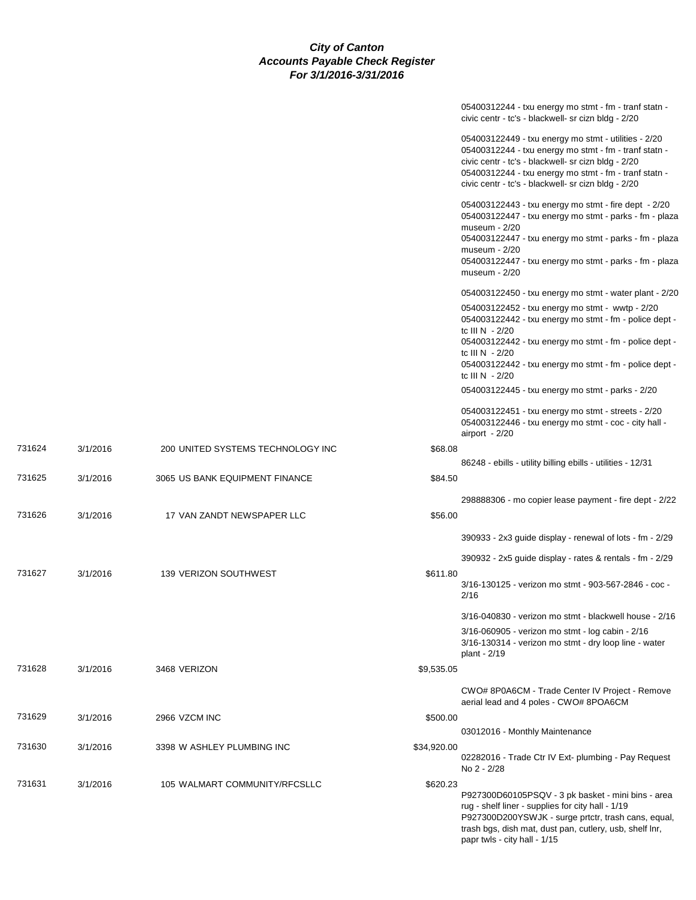|        |          |                                   |             | 05400312244 - txu energy mo stmt - fm - tranf statn -<br>civic centr - tc's - blackwell- sr cizn bldg - 2/20                                                                                                                                                                               |
|--------|----------|-----------------------------------|-------------|--------------------------------------------------------------------------------------------------------------------------------------------------------------------------------------------------------------------------------------------------------------------------------------------|
|        |          |                                   |             | 054003122449 - txu energy mo stmt - utilities - 2/20<br>05400312244 - txu energy mo stmt - fm - tranf statn -<br>civic centr - tc's - blackwell- sr cizn bldg - 2/20<br>05400312244 - txu energy mo stmt - fm - tranf statn -<br>civic centr - tc's - blackwell- sr cizn bldg - 2/20       |
|        |          |                                   |             | 054003122443 - txu energy mo stmt - fire dept - 2/20<br>054003122447 - txu energy mo stmt - parks - fm - plaza<br>museum - 2/20<br>054003122447 - txu energy mo stmt - parks - fm - plaza<br>museum $-2/20$<br>054003122447 - txu energy mo stmt - parks - fm - plaza<br>museum - 2/20     |
|        |          |                                   |             | 054003122450 - txu energy mo stmt - water plant - 2/20                                                                                                                                                                                                                                     |
|        |          |                                   |             | 054003122452 - txu energy mo stmt - wwtp - 2/20<br>054003122442 - txu energy mo stmt - fm - police dept -<br>tc III N $-2/20$<br>054003122442 - txu energy mo stmt - fm - police dept -<br>tc III N $-2/20$<br>054003122442 - txu energy mo stmt - fm - police dept -<br>tc III $N - 2/20$ |
|        |          |                                   |             | 054003122445 - txu energy mo stmt - parks - 2/20                                                                                                                                                                                                                                           |
|        |          |                                   |             | 054003122451 - txu energy mo stmt - streets - 2/20<br>054003122446 - txu energy mo stmt - coc - city hall -<br>airport $-2/20$                                                                                                                                                             |
| 731624 | 3/1/2016 | 200 UNITED SYSTEMS TECHNOLOGY INC | \$68.08     |                                                                                                                                                                                                                                                                                            |
|        |          |                                   |             | 86248 - ebills - utility billing ebills - utilities - 12/31                                                                                                                                                                                                                                |
| 731625 | 3/1/2016 | 3065 US BANK EQUIPMENT FINANCE    | \$84.50     |                                                                                                                                                                                                                                                                                            |
|        |          |                                   |             | 298888306 - mo copier lease payment - fire dept - 2/22                                                                                                                                                                                                                                     |
| 731626 | 3/1/2016 | 17 VAN ZANDT NEWSPAPER LLC        | \$56.00     |                                                                                                                                                                                                                                                                                            |
|        |          |                                   |             | 390933 - 2x3 guide display - renewal of lots - fm - 2/29                                                                                                                                                                                                                                   |
|        |          |                                   |             | 390932 - 2x5 guide display - rates & rentals - fm - 2/29                                                                                                                                                                                                                                   |
| 731627 | 3/1/2016 | 139 VERIZON SOUTHWEST             | \$611.80    | 3/16-130125 - verizon mo stmt - 903-567-2846 - coc -<br>2/16                                                                                                                                                                                                                               |
|        |          |                                   |             | 3/16-040830 - verizon mo stmt - blackwell house - 2/16                                                                                                                                                                                                                                     |
|        |          |                                   |             | 3/16-060905 - verizon mo stmt - log cabin - 2/16<br>3/16-130314 - verizon mo stmt - dry loop line - water<br>plant - 2/19                                                                                                                                                                  |
| 731628 | 3/1/2016 | 3468 VERIZON                      | \$9,535.05  |                                                                                                                                                                                                                                                                                            |
|        |          |                                   |             | CWO# 8P0A6CM - Trade Center IV Project - Remove<br>aerial lead and 4 poles - CWO# 8POA6CM                                                                                                                                                                                                  |
| 731629 | 3/1/2016 | 2966 VZCM INC                     | \$500.00    |                                                                                                                                                                                                                                                                                            |
|        |          |                                   |             | 03012016 - Monthly Maintenance                                                                                                                                                                                                                                                             |
| 731630 | 3/1/2016 | 3398 W ASHLEY PLUMBING INC        | \$34,920.00 | 02282016 - Trade Ctr IV Ext- plumbing - Pay Request<br>No 2 - 2/28                                                                                                                                                                                                                         |
| 731631 | 3/1/2016 | 105 WALMART COMMUNITY/RFCSLLC     | \$620.23    |                                                                                                                                                                                                                                                                                            |
|        |          |                                   |             | P927300D60105PSQV - 3 pk basket - mini bins - area<br>rug - shelf liner - supplies for city hall - 1/19<br>P927300D200YSWJK - surge prtctr, trash cans, equal,<br>trash bgs, dish mat, dust pan, cutlery, usb, shelf lnr,<br>papr twls - city hall - 1/15                                  |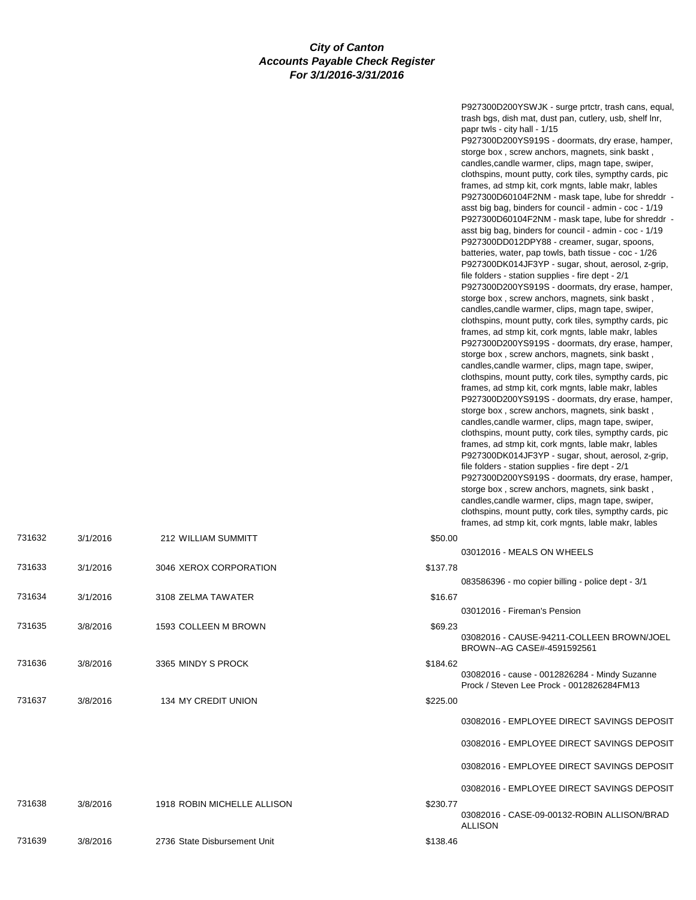P927300D200YSWJK - surge prtctr, trash cans, equal, trash bgs, dish mat, dust pan, cutlery, usb, shelf lnr, papr twls - city hall - 1/15

P927300D200YS919S - doormats, dry erase, hamper, storge box , screw anchors, magnets, sink baskt , candles,candle warmer, clips, magn tape, swiper, clothspins, mount putty, cork tiles, sympthy cards, pic frames, ad stmp kit, cork mgnts, lable makr, lables P927300D60104F2NM - mask tape, lube for shreddr asst big bag, binders for council - admin - coc - 1/19 P927300D60104F2NM - mask tape, lube for shreddr asst big bag, binders for council - admin - coc - 1/19 P927300DD012DPY88 - creamer, sugar, spoons, batteries, water, pap towls, bath tissue - coc - 1/26 P927300DK014JF3YP - sugar, shout, aerosol, z-grip, file folders - station supplies - fire dept - 2/1 P927300D200YS919S - doormats, dry erase, hamper, storge box , screw anchors, magnets, sink baskt , candles,candle warmer, clips, magn tape, swiper, clothspins, mount putty, cork tiles, sympthy cards, pic frames, ad stmp kit, cork mgnts, lable makr, lables P927300D200YS919S - doormats, dry erase, hamper, storge box , screw anchors, magnets, sink baskt , candles,candle warmer, clips, magn tape, swiper, clothspins, mount putty, cork tiles, sympthy cards, pic frames, ad stmp kit, cork mgnts, lable makr, lables P927300D200YS919S - doormats, dry erase, hamper, storge box , screw anchors, magnets, sink baskt , candles,candle warmer, clips, magn tape, swiper, clothspins, mount putty, cork tiles, sympthy cards, pic frames, ad stmp kit, cork mgnts, lable makr, lables P927300DK014JF3YP - sugar, shout, aerosol, z-grip, file folders - station supplies - fire dept - 2/1 P927300D200YS919S - doormats, dry erase, hamper, storge box , screw anchors, magnets, sink baskt , candles,candle warmer, clips, magn tape, swiper, clothspins, mount putty, cork tiles, sympthy cards, pic frames, ad stmp kit, cork monts, lable makr, lables

| 731632 | 3/1/2016 | 212 WILLIAM SUMMITT          | \$50.00  |                                                                                            |
|--------|----------|------------------------------|----------|--------------------------------------------------------------------------------------------|
|        |          |                              |          | 03012016 - MEALS ON WHEELS                                                                 |
| 731633 | 3/1/2016 | 3046 XEROX CORPORATION       | \$137.78 |                                                                                            |
|        |          |                              |          | 083586396 - mo copier billing - police dept - 3/1                                          |
| 731634 | 3/1/2016 | 3108 ZELMA TAWATER           | \$16.67  |                                                                                            |
|        |          |                              |          | 03012016 - Fireman's Pension                                                               |
| 731635 | 3/8/2016 | 1593 COLLEEN M BROWN         | \$69.23  |                                                                                            |
|        |          |                              |          | 03082016 - CAUSE-94211-COLLEEN BROWN/JOEL<br>BROWN--AG CASE#-4591592561                    |
| 731636 | 3/8/2016 | 3365 MINDY S PROCK           | \$184.62 |                                                                                            |
|        |          |                              |          | 03082016 - cause - 0012826284 - Mindy Suzanne<br>Prock / Steven Lee Prock - 0012826284FM13 |
| 731637 | 3/8/2016 | <b>134 MY CREDIT UNION</b>   | \$225.00 |                                                                                            |
|        |          |                              |          | 03082016 - EMPLOYEE DIRECT SAVINGS DEPOSIT                                                 |
|        |          |                              |          | 03082016 - EMPLOYEE DIRECT SAVINGS DEPOSIT                                                 |
|        |          |                              |          | 03082016 - EMPLOYEE DIRECT SAVINGS DEPOSIT                                                 |
|        |          |                              |          | 03082016 - EMPLOYEE DIRECT SAVINGS DEPOSIT                                                 |
| 731638 | 3/8/2016 | 1918 ROBIN MICHELLE ALLISON  | \$230.77 |                                                                                            |
|        |          |                              |          | 03082016 - CASE-09-00132-ROBIN ALLISON/BRAD<br><b>ALLISON</b>                              |
| 731639 | 3/8/2016 | 2736 State Disbursement Unit | \$138.46 |                                                                                            |
|        |          |                              |          |                                                                                            |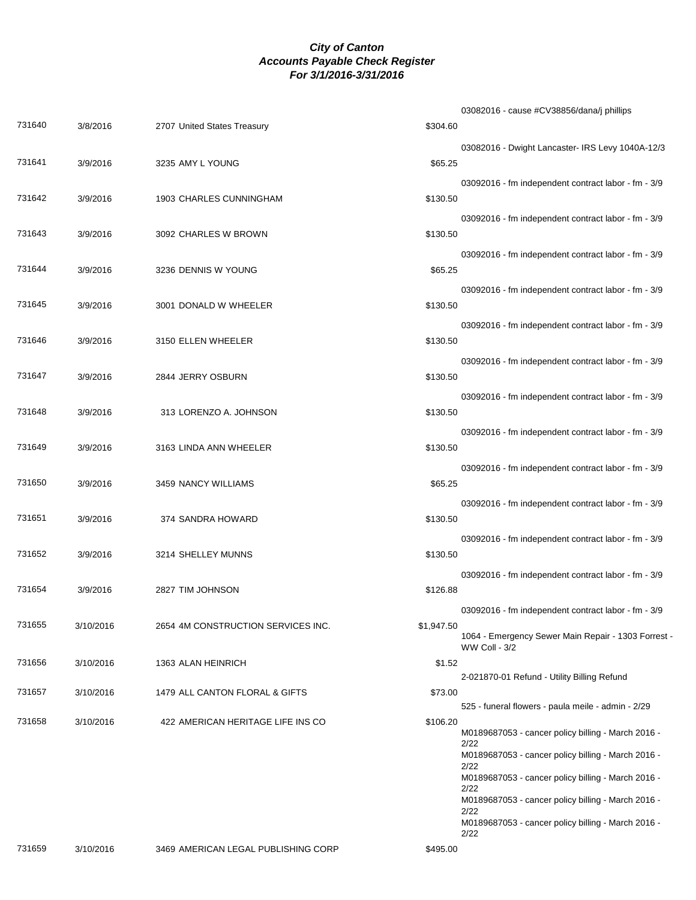|        |           |                                     |            | 03082016 - cause #CV38856/dana/j phillips                            |
|--------|-----------|-------------------------------------|------------|----------------------------------------------------------------------|
| 731640 | 3/8/2016  | 2707 United States Treasury         | \$304.60   |                                                                      |
|        |           |                                     |            | 03082016 - Dwight Lancaster- IRS Levy 1040A-12/3                     |
| 731641 | 3/9/2016  | 3235 AMY L YOUNG                    | \$65.25    |                                                                      |
|        |           |                                     |            | 03092016 - fm independent contract labor - fm - 3/9                  |
| 731642 | 3/9/2016  | 1903 CHARLES CUNNINGHAM             | \$130.50   |                                                                      |
| 731643 |           | 3092 CHARLES W BROWN                | \$130.50   | 03092016 - fm independent contract labor - fm - 3/9                  |
|        | 3/9/2016  |                                     |            |                                                                      |
| 731644 | 3/9/2016  | 3236 DENNIS W YOUNG                 | \$65.25    | 03092016 - fm independent contract labor - fm - 3/9                  |
|        |           |                                     |            | 03092016 - fm independent contract labor - fm - 3/9                  |
| 731645 | 3/9/2016  | 3001 DONALD W WHEELER               | \$130.50   |                                                                      |
|        |           |                                     |            | 03092016 - fm independent contract labor - fm - 3/9                  |
| 731646 | 3/9/2016  | 3150 ELLEN WHEELER                  | \$130.50   |                                                                      |
|        |           |                                     |            | 03092016 - fm independent contract labor - fm - 3/9                  |
| 731647 | 3/9/2016  | 2844 JERRY OSBURN                   | \$130.50   |                                                                      |
|        |           |                                     |            | 03092016 - fm independent contract labor - fm - 3/9                  |
| 731648 | 3/9/2016  | 313 LORENZO A. JOHNSON              | \$130.50   |                                                                      |
|        |           |                                     |            | 03092016 - fm independent contract labor - fm - 3/9                  |
| 731649 | 3/9/2016  | 3163 LINDA ANN WHEELER              | \$130.50   |                                                                      |
| 731650 | 3/9/2016  |                                     |            | 03092016 - fm independent contract labor - fm - 3/9                  |
|        |           | 3459 NANCY WILLIAMS                 | \$65.25    |                                                                      |
| 731651 | 3/9/2016  | 374 SANDRA HOWARD                   | \$130.50   | 03092016 - fm independent contract labor - fm - 3/9                  |
|        |           |                                     |            | 03092016 - fm independent contract labor - fm - 3/9                  |
| 731652 | 3/9/2016  | 3214 SHELLEY MUNNS                  | \$130.50   |                                                                      |
|        |           |                                     |            | 03092016 - fm independent contract labor - fm - 3/9                  |
| 731654 | 3/9/2016  | 2827 TIM JOHNSON                    | \$126.88   |                                                                      |
|        |           |                                     |            | 03092016 - fm independent contract labor - fm - 3/9                  |
| 731655 | 3/10/2016 | 2654 4M CONSTRUCTION SERVICES INC.  | \$1,947.50 |                                                                      |
|        |           |                                     |            | 1064 - Emergency Sewer Main Repair - 1303 Forrest -<br>WW Coll - 3/2 |
| 731656 | 3/10/2016 | 1363 ALAN HEINRICH                  | \$1.52     |                                                                      |
| 731657 | 3/10/2016 | 1479 ALL CANTON FLORAL & GIFTS      | \$73.00    | 2-021870-01 Refund - Utility Billing Refund                          |
|        |           |                                     |            | 525 - funeral flowers - paula meile - admin - 2/29                   |
| 731658 | 3/10/2016 | 422 AMERICAN HERITAGE LIFE INS CO   | \$106.20   |                                                                      |
|        |           |                                     |            | M0189687053 - cancer policy billing - March 2016 -<br>2/22           |
|        |           |                                     |            | M0189687053 - cancer policy billing - March 2016 -<br>2/22           |
|        |           |                                     |            | M0189687053 - cancer policy billing - March 2016 -                   |
|        |           |                                     |            | 2/22<br>M0189687053 - cancer policy billing - March 2016 -           |
|        |           |                                     |            | 2/22<br>M0189687053 - cancer policy billing - March 2016 -           |
|        |           |                                     |            | 2/22                                                                 |
| 731659 | 3/10/2016 | 3469 AMERICAN LEGAL PUBLISHING CORP | \$495.00   |                                                                      |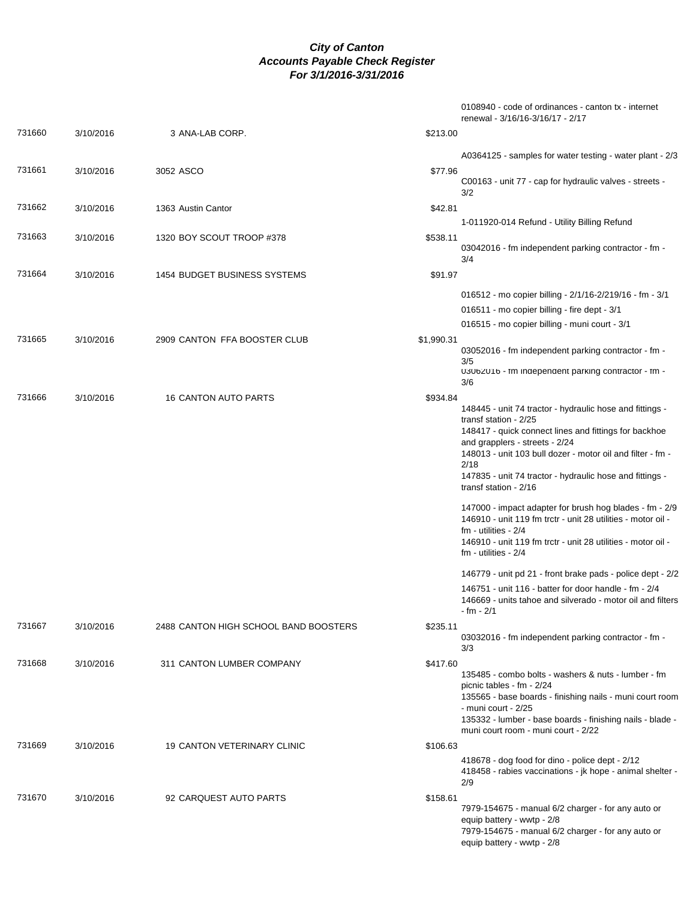|        |           |                                       | 0108940 - code of ordinances - canton tx - internet<br>renewal - 3/16/16-3/16/17 - 2/17                                                                                                                                                                                                                                                                                                                                                                                                                                                                                                                                                                          |
|--------|-----------|---------------------------------------|------------------------------------------------------------------------------------------------------------------------------------------------------------------------------------------------------------------------------------------------------------------------------------------------------------------------------------------------------------------------------------------------------------------------------------------------------------------------------------------------------------------------------------------------------------------------------------------------------------------------------------------------------------------|
| 731660 | 3/10/2016 | 3 ANA-LAB CORP.                       | \$213.00                                                                                                                                                                                                                                                                                                                                                                                                                                                                                                                                                                                                                                                         |
|        |           |                                       | A0364125 - samples for water testing - water plant - 2/3                                                                                                                                                                                                                                                                                                                                                                                                                                                                                                                                                                                                         |
| 731661 | 3/10/2016 | 3052 ASCO                             | \$77.96<br>C00163 - unit 77 - cap for hydraulic valves - streets -<br>3/2                                                                                                                                                                                                                                                                                                                                                                                                                                                                                                                                                                                        |
| 731662 | 3/10/2016 | 1363 Austin Cantor                    | \$42.81                                                                                                                                                                                                                                                                                                                                                                                                                                                                                                                                                                                                                                                          |
|        |           |                                       | 1-011920-014 Refund - Utility Billing Refund                                                                                                                                                                                                                                                                                                                                                                                                                                                                                                                                                                                                                     |
| 731663 | 3/10/2016 | 1320 BOY SCOUT TROOP #378             | \$538.11<br>03042016 - fm independent parking contractor - fm -<br>3/4                                                                                                                                                                                                                                                                                                                                                                                                                                                                                                                                                                                           |
| 731664 | 3/10/2016 | <b>1454 BUDGET BUSINESS SYSTEMS</b>   | \$91.97                                                                                                                                                                                                                                                                                                                                                                                                                                                                                                                                                                                                                                                          |
|        |           |                                       | 016512 - mo copier billing - 2/1/16-2/219/16 - fm - 3/1                                                                                                                                                                                                                                                                                                                                                                                                                                                                                                                                                                                                          |
|        |           |                                       | 016511 - mo copier billing - fire dept - 3/1                                                                                                                                                                                                                                                                                                                                                                                                                                                                                                                                                                                                                     |
|        |           |                                       | 016515 - mo copier billing - muni court - 3/1                                                                                                                                                                                                                                                                                                                                                                                                                                                                                                                                                                                                                    |
| 731665 | 3/10/2016 | 2909 CANTON FFA BOOSTER CLUB          | \$1,990.31<br>03052016 - fm independent parking contractor - fm -<br>3/5<br>03062016 - fm independent parking contractor - fm -                                                                                                                                                                                                                                                                                                                                                                                                                                                                                                                                  |
|        |           |                                       | 3/6                                                                                                                                                                                                                                                                                                                                                                                                                                                                                                                                                                                                                                                              |
| 731666 | 3/10/2016 | <b>16 CANTON AUTO PARTS</b>           | \$934.84<br>148445 - unit 74 tractor - hydraulic hose and fittings -<br>transf station - 2/25<br>148417 - quick connect lines and fittings for backhoe<br>and grapplers - streets - 2/24<br>148013 - unit 103 bull dozer - motor oil and filter - fm -<br>2/18<br>147835 - unit 74 tractor - hydraulic hose and fittings -<br>transf station - 2/16<br>147000 - impact adapter for brush hog blades - fm - 2/9<br>146910 - unit 119 fm trctr - unit 28 utilities - motor oil -<br>$fm - utilities - 2/4$<br>146910 - unit 119 fm trctr - unit 28 utilities - motor oil -<br>$fm - utilities - 2/4$<br>146779 - unit pd 21 - front brake pads - police dept - 2/2 |
|        |           |                                       | 146751 - unit 116 - batter for door handle - fm - 2/4<br>146669 - units tahoe and silverado - motor oil and filters                                                                                                                                                                                                                                                                                                                                                                                                                                                                                                                                              |
| 731667 |           | 2488 CANTON HIGH SCHOOL BAND BOOSTERS | - fm - 2/1                                                                                                                                                                                                                                                                                                                                                                                                                                                                                                                                                                                                                                                       |
|        | 3/10/2016 |                                       | \$235.11<br>03032016 - fm independent parking contractor - fm -<br>3/3                                                                                                                                                                                                                                                                                                                                                                                                                                                                                                                                                                                           |
| 731668 | 3/10/2016 | 311 CANTON LUMBER COMPANY             | \$417.60<br>135485 - combo bolts - washers & nuts - lumber - fm<br>picnic tables - fm - 2/24<br>135565 - base boards - finishing nails - muni court room<br>- muni court - 2/25<br>135332 - lumber - base boards - finishing nails - blade -<br>muni court room - muni court - 2/22                                                                                                                                                                                                                                                                                                                                                                              |
| 731669 | 3/10/2016 | <b>19 CANTON VETERINARY CLINIC</b>    | \$106.63                                                                                                                                                                                                                                                                                                                                                                                                                                                                                                                                                                                                                                                         |
|        |           |                                       | 418678 - dog food for dino - police dept - 2/12<br>418458 - rabies vaccinations - jk hope - animal shelter -<br>2/9                                                                                                                                                                                                                                                                                                                                                                                                                                                                                                                                              |
| 731670 | 3/10/2016 | 92 CARQUEST AUTO PARTS                | \$158.61<br>7979-154675 - manual 6/2 charger - for any auto or<br>equip battery - wwtp - 2/8<br>7979-154675 - manual 6/2 charger - for any auto or<br>equip battery - wwtp - 2/8                                                                                                                                                                                                                                                                                                                                                                                                                                                                                 |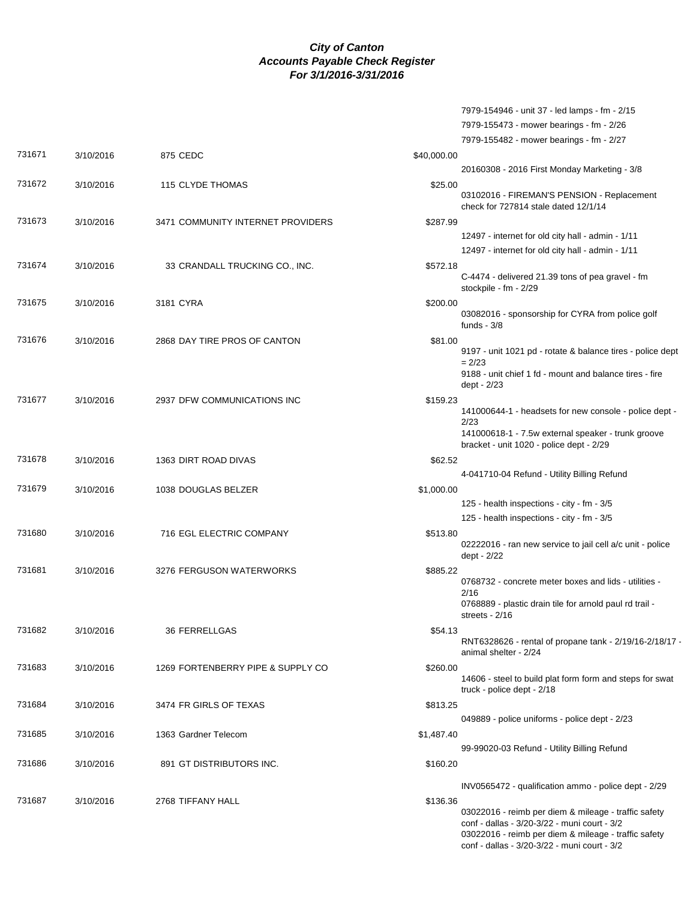|        |           |                                   | 7979-154946 - unit 37 - led lamps - fm - 2/15                                                                                                                                                                            |
|--------|-----------|-----------------------------------|--------------------------------------------------------------------------------------------------------------------------------------------------------------------------------------------------------------------------|
|        |           |                                   | 7979-155473 - mower bearings - fm - 2/26                                                                                                                                                                                 |
|        |           |                                   | 7979-155482 - mower bearings - fm - 2/27                                                                                                                                                                                 |
| 731671 | 3/10/2016 | 875 CEDC                          | \$40,000.00                                                                                                                                                                                                              |
|        |           |                                   | 20160308 - 2016 First Monday Marketing - 3/8                                                                                                                                                                             |
| 731672 | 3/10/2016 | 115 CLYDE THOMAS                  | \$25.00                                                                                                                                                                                                                  |
|        |           |                                   | 03102016 - FIREMAN'S PENSION - Replacement<br>check for 727814 stale dated 12/1/14                                                                                                                                       |
| 731673 | 3/10/2016 | 3471 COMMUNITY INTERNET PROVIDERS | \$287.99                                                                                                                                                                                                                 |
|        |           |                                   | 12497 - internet for old city hall - admin - 1/11                                                                                                                                                                        |
|        |           |                                   | 12497 - internet for old city hall - admin - 1/11                                                                                                                                                                        |
| 731674 | 3/10/2016 | 33 CRANDALL TRUCKING CO., INC.    | \$572.18                                                                                                                                                                                                                 |
|        |           |                                   | C-4474 - delivered 21.39 tons of pea gravel - fm<br>stockpile - fm - 2/29                                                                                                                                                |
| 731675 | 3/10/2016 | 3181 CYRA                         | \$200.00                                                                                                                                                                                                                 |
|        |           |                                   | 03082016 - sponsorship for CYRA from police golf<br>funds - $3/8$                                                                                                                                                        |
| 731676 | 3/10/2016 | 2868 DAY TIRE PROS OF CANTON      | \$81.00                                                                                                                                                                                                                  |
|        |           |                                   | 9197 - unit 1021 pd - rotate & balance tires - police dept<br>$= 2/23$                                                                                                                                                   |
|        |           |                                   | 9188 - unit chief 1 fd - mount and balance tires - fire<br>dept - 2/23                                                                                                                                                   |
| 731677 | 3/10/2016 | 2937 DFW COMMUNICATIONS INC       | \$159.23                                                                                                                                                                                                                 |
|        |           |                                   | 141000644-1 - headsets for new console - police dept -<br>2/23                                                                                                                                                           |
|        |           |                                   | 141000618-1 - 7.5w external speaker - trunk groove<br>bracket - unit 1020 - police dept - 2/29                                                                                                                           |
| 731678 | 3/10/2016 | 1363 DIRT ROAD DIVAS              | \$62.52                                                                                                                                                                                                                  |
|        |           |                                   | 4-041710-04 Refund - Utility Billing Refund                                                                                                                                                                              |
| 731679 | 3/10/2016 | 1038 DOUGLAS BELZER               | \$1,000.00                                                                                                                                                                                                               |
|        |           |                                   | 125 - health inspections - city - fm - 3/5                                                                                                                                                                               |
|        |           |                                   | 125 - health inspections - city - fm - 3/5                                                                                                                                                                               |
| 731680 | 3/10/2016 | 716 EGL ELECTRIC COMPANY          | \$513.80                                                                                                                                                                                                                 |
|        |           |                                   | 02222016 - ran new service to jail cell a/c unit - police<br>dept - 2/22                                                                                                                                                 |
| 731681 | 3/10/2016 | 3276 FERGUSON WATERWORKS          | \$885.22                                                                                                                                                                                                                 |
|        |           |                                   | 0768732 - concrete meter boxes and lids - utilities -<br>2/16                                                                                                                                                            |
|        |           |                                   | 0768889 - plastic drain tile for arnold paul rd trail -<br>streets - 2/16                                                                                                                                                |
| 731682 | 3/10/2016 | <b>36 FERRELLGAS</b>              | \$54.13                                                                                                                                                                                                                  |
|        |           |                                   | RNT6328626 - rental of propane tank - $2/19/16 - 2/18/17$ .<br>animal shelter - 2/24                                                                                                                                     |
| 731683 | 3/10/2016 | 1269 FORTENBERRY PIPE & SUPPLY CO | \$260.00                                                                                                                                                                                                                 |
|        |           |                                   | 14606 - steel to build plat form form and steps for swat<br>truck - police dept - 2/18                                                                                                                                   |
| 731684 | 3/10/2016 | 3474 FR GIRLS OF TEXAS            | \$813.25                                                                                                                                                                                                                 |
|        |           |                                   | 049889 - police uniforms - police dept - 2/23                                                                                                                                                                            |
| 731685 | 3/10/2016 | 1363 Gardner Telecom              | \$1,487.40                                                                                                                                                                                                               |
|        |           |                                   | 99-99020-03 Refund - Utility Billing Refund                                                                                                                                                                              |
| 731686 | 3/10/2016 | 891 GT DISTRIBUTORS INC.          | \$160.20                                                                                                                                                                                                                 |
|        |           |                                   | INV0565472 - qualification ammo - police dept - 2/29                                                                                                                                                                     |
|        |           |                                   |                                                                                                                                                                                                                          |
| 731687 | 3/10/2016 | 2768 TIFFANY HALL                 | \$136.36<br>03022016 - reimb per diem & mileage - traffic safety<br>conf - dallas - 3/20-3/22 - muni court - 3/2<br>03022016 - reimb per diem & mileage - traffic safety<br>conf - dallas - 3/20-3/22 - muni court - 3/2 |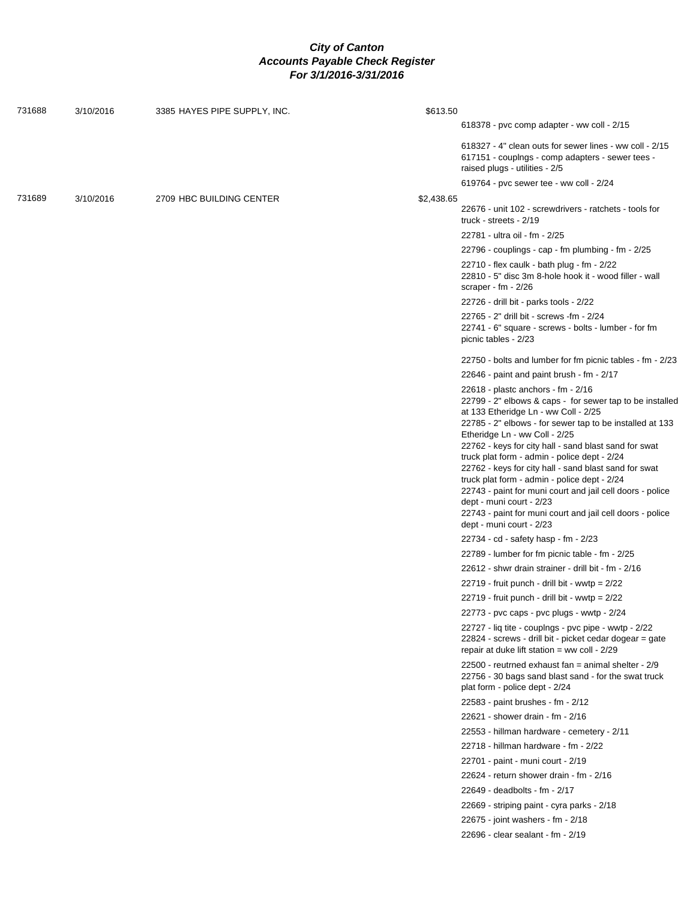| 731688 | 3/10/2016 | 3385 HAYES PIPE SUPPLY, INC. | \$613.50                                                                                                                                                                                                                                                                                                                                 |
|--------|-----------|------------------------------|------------------------------------------------------------------------------------------------------------------------------------------------------------------------------------------------------------------------------------------------------------------------------------------------------------------------------------------|
|        |           |                              | 618378 - pvc comp adapter - ww coll - 2/15                                                                                                                                                                                                                                                                                               |
|        |           |                              | 618327 - 4" clean outs for sewer lines - ww coll - 2/15<br>617151 - couplngs - comp adapters - sewer tees -<br>raised plugs - utilities - 2/5                                                                                                                                                                                            |
|        |           |                              | 619764 - pvc sewer tee - ww coll - 2/24                                                                                                                                                                                                                                                                                                  |
| 731689 | 3/10/2016 | 2709 HBC BUILDING CENTER     | \$2,438.65<br>22676 - unit 102 - screwdrivers - ratchets - tools for<br>truck - streets - 2/19                                                                                                                                                                                                                                           |
|        |           |                              | 22781 - ultra oil - fm - 2/25                                                                                                                                                                                                                                                                                                            |
|        |           |                              | 22796 - couplings - cap - fm plumbing - fm - 2/25                                                                                                                                                                                                                                                                                        |
|        |           |                              | 22710 - flex caulk - bath plug - fm - 2/22<br>22810 - 5" disc 3m 8-hole hook it - wood filler - wall<br>scraper - $fm - 2/26$                                                                                                                                                                                                            |
|        |           |                              | 22726 - drill bit - parks tools - 2/22                                                                                                                                                                                                                                                                                                   |
|        |           |                              | 22765 - 2" drill bit - screws -fm - 2/24<br>22741 - 6" square - screws - bolts - lumber - for fm<br>picnic tables - 2/23                                                                                                                                                                                                                 |
|        |           |                              | 22750 - bolts and lumber for fm picnic tables - fm - 2/23                                                                                                                                                                                                                                                                                |
|        |           |                              | 22646 - paint and paint brush - $fm - 2/17$                                                                                                                                                                                                                                                                                              |
|        |           |                              | 22618 - plastc anchors - fm - 2/16<br>22799 - 2" elbows & caps - for sewer tap to be installed<br>at 133 Etheridge Ln - ww Coll - 2/25<br>22785 - 2" elbows - for sewer tap to be installed at 133                                                                                                                                       |
|        |           |                              | Etheridge Ln - ww Coll - 2/25<br>22762 - keys for city hall - sand blast sand for swat<br>truck plat form - admin - police dept - 2/24<br>22762 - keys for city hall - sand blast sand for swat<br>truck plat form - admin - police dept - 2/24<br>22743 - paint for muni court and jail cell doors - police<br>dept - muni court - 2/23 |
|        |           |                              | 22743 - paint for muni court and jail cell doors - police<br>dept - muni court - 2/23                                                                                                                                                                                                                                                    |
|        |           |                              | 22734 - cd - safety hasp - fm - 2/23                                                                                                                                                                                                                                                                                                     |
|        |           |                              | 22789 - lumber for fm picnic table - fm - 2/25                                                                                                                                                                                                                                                                                           |
|        |           |                              | 22612 - shwr drain strainer - drill bit - fm - 2/16                                                                                                                                                                                                                                                                                      |
|        |           |                              | $22719$ - fruit punch - drill bit - wwtp = $2/22$                                                                                                                                                                                                                                                                                        |
|        |           |                              | 22719 - fruit punch - drill bit - wwtp = $2/22$                                                                                                                                                                                                                                                                                          |
|        |           |                              | 22773 - pvc caps - pvc plugs - wwtp - 2/24                                                                                                                                                                                                                                                                                               |
|        |           |                              | 22727 - liq tite - couplngs - pvc pipe - wwtp - 2/22<br>22824 - screws - drill bit - picket cedar dogear = gate<br>repair at duke lift station = ww coll - 2/29                                                                                                                                                                          |
|        |           |                              | 22500 - reutrned exhaust fan = animal shelter - 2/9<br>22756 - 30 bags sand blast sand - for the swat truck<br>plat form - police dept - 2/24                                                                                                                                                                                            |
|        |           |                              | 22583 - paint brushes - fm - 2/12                                                                                                                                                                                                                                                                                                        |
|        |           |                              | 22621 - shower drain - fm - 2/16                                                                                                                                                                                                                                                                                                         |
|        |           |                              | 22553 - hillman hardware - cemetery - 2/11                                                                                                                                                                                                                                                                                               |
|        |           |                              | 22718 - hillman hardware - fm - 2/22                                                                                                                                                                                                                                                                                                     |
|        |           |                              | 22701 - paint - muni court - 2/19                                                                                                                                                                                                                                                                                                        |
|        |           |                              | 22624 - return shower drain - fm - 2/16                                                                                                                                                                                                                                                                                                  |
|        |           |                              | 22649 - deadbolts - fm - 2/17                                                                                                                                                                                                                                                                                                            |
|        |           |                              | 22669 - striping paint - cyra parks - 2/18                                                                                                                                                                                                                                                                                               |
|        |           |                              | 22675 - joint washers - fm - 2/18                                                                                                                                                                                                                                                                                                        |
|        |           |                              | 22696 - clear sealant - fm - 2/19                                                                                                                                                                                                                                                                                                        |
|        |           |                              |                                                                                                                                                                                                                                                                                                                                          |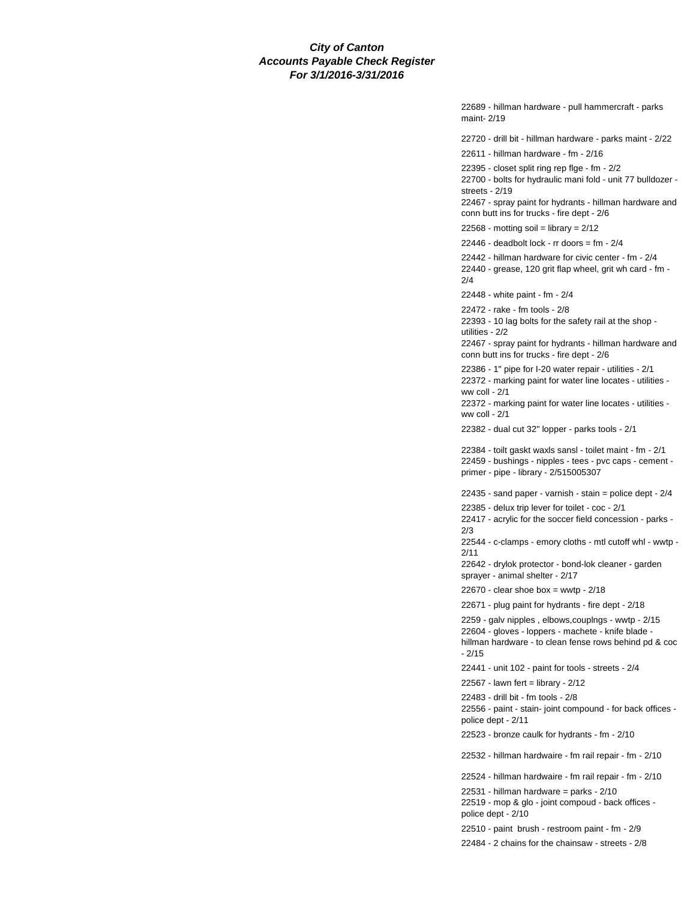22689 - hillman hardware - pull hammercraft - parks maint- 2/19

22720 - drill bit - hillman hardware - parks maint - 2/22

22611 - hillman hardware - fm - 2/16

22395 - closet split ring rep flge - fm - 2/2

22700 - bolts for hydraulic mani fold - unit 77 bulldozer streets - 2/19

22467 - spray paint for hydrants - hillman hardware and conn butt ins for trucks - fire dept - 2/6

22568 - motting soil = library =  $2/12$ 

 $22446$  - deadbolt lock - rr doors = fm -  $2/4$ 

22442 - hillman hardware for civic center - fm - 2/4 22440 - grease, 120 grit flap wheel, grit wh card - fm - 2/4

22448 - white paint - fm - 2/4

22472 - rake - fm tools - 2/8

22393 - 10 lag bolts for the safety rail at the shop utilities - 2/2

22467 - spray paint for hydrants - hillman hardware and conn butt ins for trucks - fire dept - 2/6

22386 - 1" pipe for I-20 water repair - utilities - 2/1 22372 - marking paint for water line locates - utilities ww coll - 2/1

22372 - marking paint for water line locates - utilities ww coll - 2/1

22382 - dual cut 32" lopper - parks tools - 2/1

22384 - toilt gaskt waxls sansl - toilet maint - fm - 2/1 22459 - bushings - nipples - tees - pvc caps - cement primer - pipe - library - 2/515005307

22435 - sand paper - varnish - stain = police dept - 2/4

22385 - delux trip lever for toilet - coc - 2/1

22417 - acrylic for the soccer field concession - parks - 2/3

22544 - c-clamps - emory cloths - mtl cutoff whl - wwtp - 2/11

22642 - drylok protector - bond-lok cleaner - garden sprayer - animal shelter - 2/17

 $22670$  - clear shoe box = wwtp -  $2/18$ 

22671 - plug paint for hydrants - fire dept - 2/18

2259 - galv nipples , elbows,couplngs - wwtp - 2/15

22604 - gloves - loppers - machete - knife blade hillman hardware - to clean fense rows behind pd & coc - 2/15

22441 - unit 102 - paint for tools - streets - 2/4

22567 - lawn fert = library - 2/12

22483 - drill bit - fm tools - 2/8

22556 - paint - stain- joint compound - for back offices police dept - 2/11

22523 - bronze caulk for hydrants - fm - 2/10

22532 - hillman hardwaire - fm rail repair - fm - 2/10

22524 - hillman hardwaire - fm rail repair - fm - 2/10

22531 - hillman hardware = parks - 2/10

22519 - mop & glo - joint compoud - back offices police dept - 2/10

22510 - paint brush - restroom paint - fm - 2/9

22484 - 2 chains for the chainsaw - streets - 2/8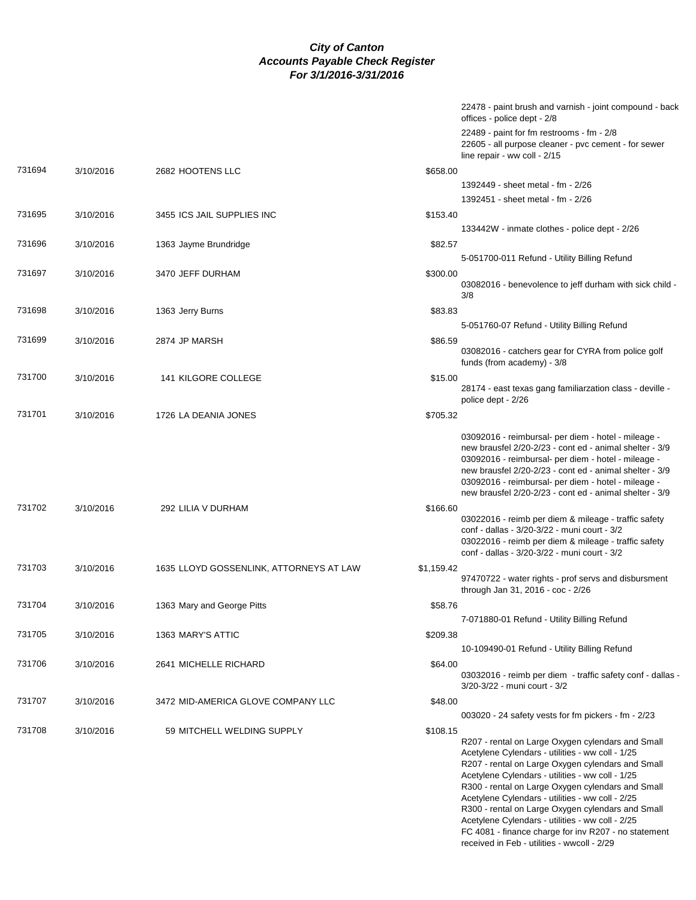|        |           |                                         | 22478 - paint brush and varnish - joint compound - back<br>offices - police dept - 2/8                                                                                                                                                                                                                                                                                                                                                                                                                                                              |
|--------|-----------|-----------------------------------------|-----------------------------------------------------------------------------------------------------------------------------------------------------------------------------------------------------------------------------------------------------------------------------------------------------------------------------------------------------------------------------------------------------------------------------------------------------------------------------------------------------------------------------------------------------|
|        |           |                                         | 22489 - paint for fm restrooms - fm - 2/8<br>22605 - all purpose cleaner - pvc cement - for sewer<br>line repair - ww coll - 2/15                                                                                                                                                                                                                                                                                                                                                                                                                   |
| 731694 | 3/10/2016 | 2682 HOOTENS LLC                        | \$658.00                                                                                                                                                                                                                                                                                                                                                                                                                                                                                                                                            |
|        |           |                                         | 1392449 - sheet metal - fm - 2/26                                                                                                                                                                                                                                                                                                                                                                                                                                                                                                                   |
|        |           |                                         | 1392451 - sheet metal - fm - 2/26                                                                                                                                                                                                                                                                                                                                                                                                                                                                                                                   |
| 731695 | 3/10/2016 | 3455 ICS JAIL SUPPLIES INC              | \$153.40                                                                                                                                                                                                                                                                                                                                                                                                                                                                                                                                            |
|        |           |                                         | 133442W - inmate clothes - police dept - 2/26                                                                                                                                                                                                                                                                                                                                                                                                                                                                                                       |
| 731696 | 3/10/2016 | 1363 Jayme Brundridge                   | \$82.57                                                                                                                                                                                                                                                                                                                                                                                                                                                                                                                                             |
|        |           |                                         | 5-051700-011 Refund - Utility Billing Refund                                                                                                                                                                                                                                                                                                                                                                                                                                                                                                        |
| 731697 | 3/10/2016 | 3470 JEFF DURHAM                        | \$300.00                                                                                                                                                                                                                                                                                                                                                                                                                                                                                                                                            |
|        |           |                                         | 03082016 - benevolence to jeff durham with sick child -<br>3/8                                                                                                                                                                                                                                                                                                                                                                                                                                                                                      |
| 731698 | 3/10/2016 | 1363 Jerry Burns                        | \$83.83                                                                                                                                                                                                                                                                                                                                                                                                                                                                                                                                             |
|        |           |                                         | 5-051760-07 Refund - Utility Billing Refund                                                                                                                                                                                                                                                                                                                                                                                                                                                                                                         |
| 731699 | 3/10/2016 | 2874 JP MARSH                           | \$86.59<br>03082016 - catchers gear for CYRA from police golf<br>funds (from academy) - 3/8                                                                                                                                                                                                                                                                                                                                                                                                                                                         |
| 731700 | 3/10/2016 | <b>141 KILGORE COLLEGE</b>              | \$15.00                                                                                                                                                                                                                                                                                                                                                                                                                                                                                                                                             |
|        |           |                                         | 28174 - east texas gang familiarzation class - deville -<br>police dept - 2/26                                                                                                                                                                                                                                                                                                                                                                                                                                                                      |
| 731701 | 3/10/2016 | 1726 LA DEANIA JONES                    | \$705.32                                                                                                                                                                                                                                                                                                                                                                                                                                                                                                                                            |
|        |           |                                         | 03092016 - reimbursal- per diem - hotel - mileage -<br>new brausfel 2/20-2/23 - cont ed - animal shelter - 3/9<br>03092016 - reimbursal- per diem - hotel - mileage -<br>new brausfel 2/20-2/23 - cont ed - animal shelter - 3/9<br>03092016 - reimbursal- per diem - hotel - mileage -<br>new brausfel 2/20-2/23 - cont ed - animal shelter - 3/9                                                                                                                                                                                                  |
| 731702 | 3/10/2016 | 292 LILIA V DURHAM                      | \$166.60<br>03022016 - reimb per diem & mileage - traffic safety<br>conf - dallas - 3/20-3/22 - muni court - 3/2<br>03022016 - reimb per diem & mileage - traffic safety<br>conf - dallas - 3/20-3/22 - muni court - 3/2                                                                                                                                                                                                                                                                                                                            |
| 731703 | 3/10/2016 | 1635 LLOYD GOSSENLINK, ATTORNEYS AT LAW | \$1,159.42                                                                                                                                                                                                                                                                                                                                                                                                                                                                                                                                          |
|        |           |                                         | 97470722 - water rights - prof servs and disbursment<br>through Jan 31, 2016 - coc - 2/26                                                                                                                                                                                                                                                                                                                                                                                                                                                           |
| 731704 | 3/10/2016 | 1363 Mary and George Pitts              | \$58.76                                                                                                                                                                                                                                                                                                                                                                                                                                                                                                                                             |
|        |           |                                         | 7-071880-01 Refund - Utility Billing Refund                                                                                                                                                                                                                                                                                                                                                                                                                                                                                                         |
| 731705 | 3/10/2016 | 1363 MARY'S ATTIC                       | \$209.38                                                                                                                                                                                                                                                                                                                                                                                                                                                                                                                                            |
|        |           |                                         | 10-109490-01 Refund - Utility Billing Refund                                                                                                                                                                                                                                                                                                                                                                                                                                                                                                        |
| 731706 | 3/10/2016 | 2641 MICHELLE RICHARD                   | \$64.00<br>03032016 - reimb per diem - traffic safety conf - dallas -<br>3/20-3/22 - muni court - 3/2                                                                                                                                                                                                                                                                                                                                                                                                                                               |
| 731707 | 3/10/2016 | 3472 MID-AMERICA GLOVE COMPANY LLC      | \$48.00                                                                                                                                                                                                                                                                                                                                                                                                                                                                                                                                             |
|        |           |                                         | $003020 - 24$ safety vests for fm pickers - fm - $2/23$                                                                                                                                                                                                                                                                                                                                                                                                                                                                                             |
| 731708 | 3/10/2016 | 59 MITCHELL WELDING SUPPLY              | \$108.15<br>R207 - rental on Large Oxygen cylendars and Small<br>Acetylene Cylendars - utilities - ww coll - 1/25<br>R207 - rental on Large Oxygen cylendars and Small<br>Acetylene Cylendars - utilities - ww coll - 1/25<br>R300 - rental on Large Oxygen cylendars and Small<br>Acetylene Cylendars - utilities - ww coll - 2/25<br>R300 - rental on Large Oxygen cylendars and Small<br>Acetylene Cylendars - utilities - ww coll - 2/25<br>FC 4081 - finance charge for inv R207 - no statement<br>received in Feb - utilities - wwcoll - 2/29 |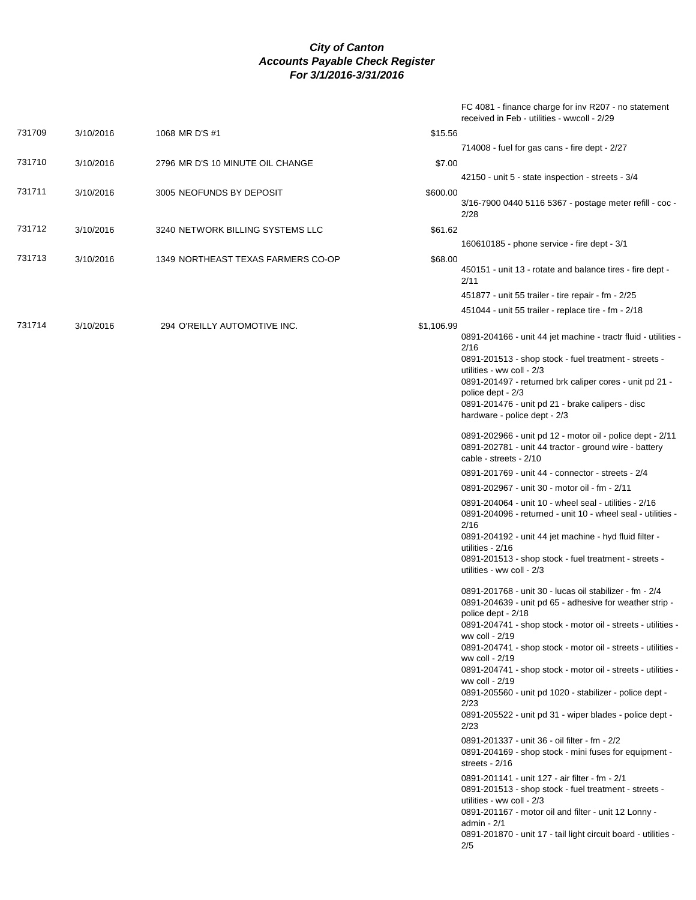|        |           |                                    |            | FC 4081 - finance charge for inv R207 - no statement<br>received in Feb - utilities - wwcoll - 2/29                                                                                                                                                                                  |
|--------|-----------|------------------------------------|------------|--------------------------------------------------------------------------------------------------------------------------------------------------------------------------------------------------------------------------------------------------------------------------------------|
| 731709 | 3/10/2016 | 1068 MR D'S #1                     | \$15.56    |                                                                                                                                                                                                                                                                                      |
|        |           |                                    |            | 714008 - fuel for gas cans - fire dept - 2/27                                                                                                                                                                                                                                        |
| 731710 | 3/10/2016 | 2796 MR D'S 10 MINUTE OIL CHANGE   | \$7.00     |                                                                                                                                                                                                                                                                                      |
|        |           |                                    |            | 42150 - unit 5 - state inspection - streets - 3/4                                                                                                                                                                                                                                    |
| 731711 | 3/10/2016 | 3005 NEOFUNDS BY DEPOSIT           | \$600.00   | 3/16-7900 0440 5116 5367 - postage meter refill - coc -<br>2/28                                                                                                                                                                                                                      |
| 731712 | 3/10/2016 | 3240 NETWORK BILLING SYSTEMS LLC   | \$61.62    |                                                                                                                                                                                                                                                                                      |
|        |           |                                    |            | 160610185 - phone service - fire dept - 3/1                                                                                                                                                                                                                                          |
| 731713 | 3/10/2016 | 1349 NORTHEAST TEXAS FARMERS CO-OP | \$68.00    | 450151 - unit 13 - rotate and balance tires - fire dept -<br>2/11                                                                                                                                                                                                                    |
|        |           |                                    |            | 451877 - unit 55 trailer - tire repair - fm - 2/25                                                                                                                                                                                                                                   |
|        |           |                                    |            | 451044 - unit 55 trailer - replace tire - fm - 2/18                                                                                                                                                                                                                                  |
| 731714 | 3/10/2016 | 294 O'REILLY AUTOMOTIVE INC.       | \$1,106.99 | 0891-204166 - unit 44 jet machine - tractr fluid - utilities -<br>2/16<br>0891-201513 - shop stock - fuel treatment - streets -<br>utilities - ww coll - 2/3<br>0891-201497 - returned brk caliper cores - unit pd 21 -                                                              |
|        |           |                                    |            | police dept - 2/3<br>0891-201476 - unit pd 21 - brake calipers - disc<br>hardware - police dept - 2/3                                                                                                                                                                                |
|        |           |                                    |            | 0891-202966 - unit pd 12 - motor oil - police dept - 2/11<br>0891-202781 - unit 44 tractor - ground wire - battery<br>cable - streets - 2/10                                                                                                                                         |
|        |           |                                    |            | 0891-201769 - unit 44 - connector - streets - 2/4                                                                                                                                                                                                                                    |
|        |           |                                    |            | 0891-202967 - unit 30 - motor oil - fm - 2/11                                                                                                                                                                                                                                        |
|        |           |                                    |            | 0891-204064 - unit 10 - wheel seal - utilities - 2/16<br>0891-204096 - returned - unit 10 - wheel seal - utilities -<br>2/16                                                                                                                                                         |
|        |           |                                    |            | 0891-204192 - unit 44 jet machine - hyd fluid filter -<br>utilities - 2/16<br>0891-201513 - shop stock - fuel treatment - streets -                                                                                                                                                  |
|        |           |                                    |            | utilities - ww coll - 2/3                                                                                                                                                                                                                                                            |
|        |           |                                    |            | 0891-201768 - unit 30 - lucas oil stabilizer - fm - 2/4<br>0891-204639 - unit pd 65 - adhesive for weather strip -<br>police dept - 2/18                                                                                                                                             |
|        |           |                                    |            | 0891-204741 - shop stock - motor oil - streets - utilities -<br>ww coll - 2/19                                                                                                                                                                                                       |
|        |           |                                    |            | 0891-204741 - shop stock - motor oil - streets - utilities -<br>ww coll - 2/19<br>0891-204741 - shop stock - motor oil - streets - utilities -                                                                                                                                       |
|        |           |                                    |            | ww coll - 2/19<br>0891-205560 - unit pd 1020 - stabilizer - police dept -                                                                                                                                                                                                            |
|        |           |                                    |            | 2/23<br>0891-205522 - unit pd 31 - wiper blades - police dept -<br>2/23                                                                                                                                                                                                              |
|        |           |                                    |            | 0891-201337 - unit 36 - oil filter - fm - 2/2<br>0891-204169 - shop stock - mini fuses for equipment -<br>streets - $2/16$                                                                                                                                                           |
|        |           |                                    |            | 0891-201141 - unit 127 - air filter - fm - 2/1<br>0891-201513 - shop stock - fuel treatment - streets -<br>utilities - ww coll - 2/3<br>0891-201167 - motor oil and filter - unit 12 Lonny -<br>admin - 2/1<br>0891-201870 - unit 17 - tail light circuit board - utilities -<br>2/5 |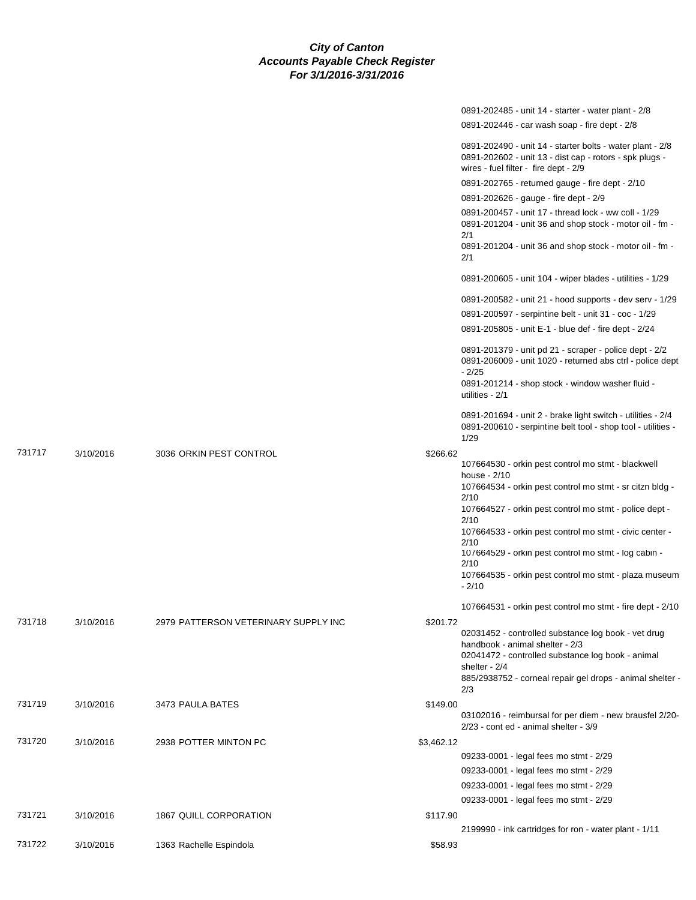|        |           |                                      |            | 0891-202485 - unit 14 - starter - water plant - 2/8                                                                                                                               |
|--------|-----------|--------------------------------------|------------|-----------------------------------------------------------------------------------------------------------------------------------------------------------------------------------|
|        |           |                                      |            | 0891-202446 - car wash soap - fire dept - 2/8                                                                                                                                     |
|        |           |                                      |            | 0891-202490 - unit 14 - starter bolts - water plant - 2/8<br>0891-202602 - unit 13 - dist cap - rotors - spk plugs -<br>wires - fuel filter - fire dept - 2/9                     |
|        |           |                                      |            | 0891-202765 - returned gauge - fire dept - 2/10                                                                                                                                   |
|        |           |                                      |            | 0891-202626 - gauge - fire dept - 2/9                                                                                                                                             |
|        |           |                                      |            | 0891-200457 - unit 17 - thread lock - ww coll - 1/29<br>0891-201204 - unit 36 and shop stock - motor oil - fm -<br>2/1<br>0891-201204 - unit 36 and shop stock - motor oil - fm - |
|        |           |                                      |            | 2/1                                                                                                                                                                               |
|        |           |                                      |            | 0891-200605 - unit 104 - wiper blades - utilities - 1/29                                                                                                                          |
|        |           |                                      |            | 0891-200582 - unit 21 - hood supports - dev serv - 1/29                                                                                                                           |
|        |           |                                      |            | 0891-200597 - serpintine belt - unit 31 - coc - 1/29                                                                                                                              |
|        |           |                                      |            | 0891-205805 - unit E-1 - blue def - fire dept - 2/24                                                                                                                              |
|        |           |                                      |            | 0891-201379 - unit pd 21 - scraper - police dept - 2/2<br>0891-206009 - unit 1020 - returned abs ctrl - police dept<br>$-2/25$                                                    |
|        |           |                                      |            | 0891-201214 - shop stock - window washer fluid -<br>utilities - 2/1                                                                                                               |
|        |           |                                      |            | 0891-201694 - unit 2 - brake light switch - utilities - 2/4<br>0891-200610 - serpintine belt tool - shop tool - utilities -<br>1/29                                               |
| 731717 | 3/10/2016 | 3036 ORKIN PEST CONTROL              | \$266.62   |                                                                                                                                                                                   |
|        |           |                                      |            | 107664530 - orkin pest control mo stmt - blackwell<br>house - 2/10                                                                                                                |
|        |           |                                      |            | 107664534 - orkin pest control mo stmt - sr citzn bldg -                                                                                                                          |
|        |           |                                      |            | 2/10<br>107664527 - orkin pest control mo stmt - police dept -                                                                                                                    |
|        |           |                                      |            | 2/10<br>107664533 - orkin pest control mo stmt - civic center -                                                                                                                   |
|        |           |                                      |            | 2/10<br>10/664529 - orkin pest control mo stmt - log cabin -                                                                                                                      |
|        |           |                                      |            | 2/10                                                                                                                                                                              |
|        |           |                                      |            | 107664535 - orkin pest control mo stmt - plaza museum<br>$-2/10$                                                                                                                  |
|        |           |                                      |            | 107664531 - orkin pest control mo stmt - fire dept - 2/10                                                                                                                         |
| 731718 | 3/10/2016 | 2979 PATTERSON VETERINARY SUPPLY INC | \$201.72   |                                                                                                                                                                                   |
|        |           |                                      |            | 02031452 - controlled substance log book - vet drug<br>handbook - animal shelter - 2/3                                                                                            |
|        |           |                                      |            | 02041472 - controlled substance log book - animal                                                                                                                                 |
|        |           |                                      |            | shelter - $2/4$<br>885/2938752 - corneal repair gel drops - animal shelter -<br>2/3                                                                                               |
| 731719 | 3/10/2016 | 3473 PAULA BATES                     | \$149.00   |                                                                                                                                                                                   |
|        |           |                                      |            | 03102016 - reimbursal for per diem - new brausfel 2/20-<br>2/23 - cont ed - animal shelter - 3/9                                                                                  |
| 731720 | 3/10/2016 | 2938 POTTER MINTON PC                | \$3,462.12 |                                                                                                                                                                                   |
|        |           |                                      |            | 09233-0001 - legal fees mo stmt - 2/29                                                                                                                                            |
|        |           |                                      |            | 09233-0001 - legal fees mo stmt - 2/29                                                                                                                                            |
|        |           |                                      |            | 09233-0001 - legal fees mo stmt - 2/29                                                                                                                                            |
|        |           |                                      |            | 09233-0001 - legal fees mo stmt - 2/29                                                                                                                                            |
| 731721 | 3/10/2016 | 1867 QUILL CORPORATION               | \$117.90   |                                                                                                                                                                                   |
|        |           |                                      |            | 2199990 - ink cartridges for ron - water plant - 1/11                                                                                                                             |
| 731722 | 3/10/2016 | 1363 Rachelle Espindola              | \$58.93    |                                                                                                                                                                                   |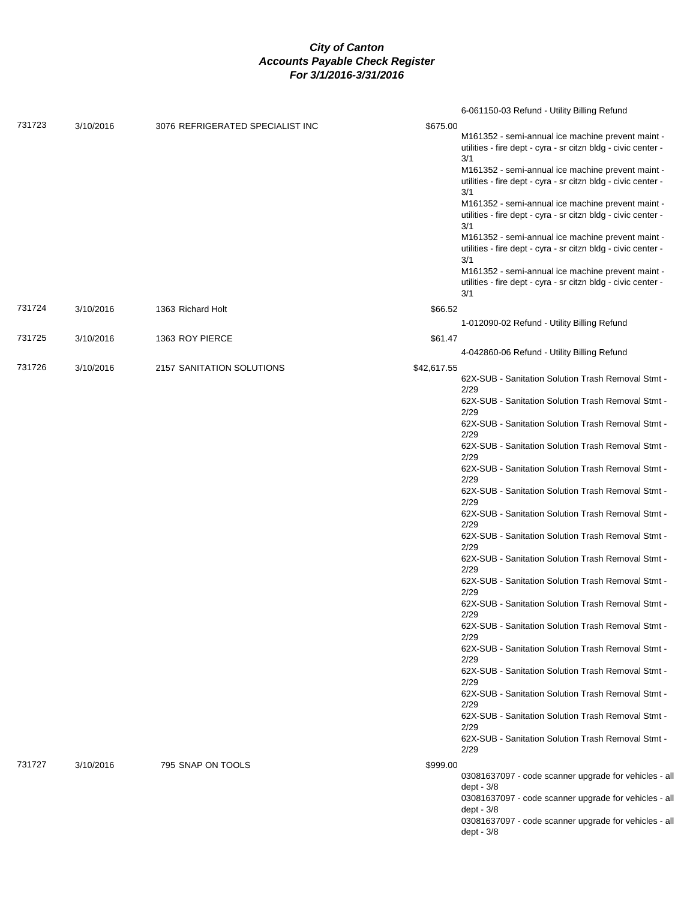|        |           |                                  |             | 6-061150-03 Refund - Utility Billing Refund                                                                                                                                    |
|--------|-----------|----------------------------------|-------------|--------------------------------------------------------------------------------------------------------------------------------------------------------------------------------|
| 731723 | 3/10/2016 | 3076 REFRIGERATED SPECIALIST INC | \$675.00    | M161352 - semi-annual ice machine prevent maint -<br>utilities - fire dept - cyra - sr citzn bldg - civic center -<br>3/1<br>M161352 - semi-annual ice machine prevent maint - |
|        |           |                                  |             | utilities - fire dept - cyra - sr citzn bldg - civic center -<br>3/1                                                                                                           |
|        |           |                                  |             | M161352 - semi-annual ice machine prevent maint -<br>utilities - fire dept - cyra - sr citzn bldg - civic center -<br>3/1                                                      |
|        |           |                                  |             | M161352 - semi-annual ice machine prevent maint -<br>utilities - fire dept - cyra - sr citzn bldg - civic center -<br>3/1                                                      |
|        |           |                                  |             | M161352 - semi-annual ice machine prevent maint -<br>utilities - fire dept - cyra - sr citzn bldg - civic center -<br>3/1                                                      |
| 731724 | 3/10/2016 | 1363 Richard Holt                | \$66.52     |                                                                                                                                                                                |
| 731725 |           | 1363 ROY PIERCE                  | \$61.47     | 1-012090-02 Refund - Utility Billing Refund                                                                                                                                    |
|        | 3/10/2016 |                                  |             | 4-042860-06 Refund - Utility Billing Refund                                                                                                                                    |
| 731726 | 3/10/2016 | 2157 SANITATION SOLUTIONS        | \$42,617.55 |                                                                                                                                                                                |
|        |           |                                  |             | 62X-SUB - Sanitation Solution Trash Removal Stmt -<br>2/29                                                                                                                     |
|        |           |                                  |             | 62X-SUB - Sanitation Solution Trash Removal Stmt -                                                                                                                             |
|        |           |                                  |             | 2/29<br>62X-SUB - Sanitation Solution Trash Removal Stmt -                                                                                                                     |
|        |           |                                  |             | 2/29                                                                                                                                                                           |
|        |           |                                  |             | 62X-SUB - Sanitation Solution Trash Removal Stmt -<br>2/29                                                                                                                     |
|        |           |                                  |             | 62X-SUB - Sanitation Solution Trash Removal Stmt -<br>2/29                                                                                                                     |
|        |           |                                  |             | 62X-SUB - Sanitation Solution Trash Removal Stmt -                                                                                                                             |
|        |           |                                  |             | 2/29<br>62X-SUB - Sanitation Solution Trash Removal Stmt -<br>2/29                                                                                                             |
|        |           |                                  |             | 62X-SUB - Sanitation Solution Trash Removal Stmt -<br>2/29                                                                                                                     |
|        |           |                                  |             | 62X-SUB - Sanitation Solution Trash Removal Stmt -<br>2/29                                                                                                                     |
|        |           |                                  |             | 62X-SUB - Sanitation Solution Trash Removal Stmt -<br>2/29                                                                                                                     |
|        |           |                                  |             | 62X-SUB - Sanitation Solution Trash Removal Stmt -<br>2/29                                                                                                                     |
|        |           |                                  |             | 62X-SUB - Sanitation Solution Trash Removal Stmt -<br>2/29                                                                                                                     |
|        |           |                                  |             | 62X-SUB - Sanitation Solution Trash Removal Stmt -<br>2/29                                                                                                                     |
|        |           |                                  |             | 62X-SUB - Sanitation Solution Trash Removal Stmt -<br>2/29                                                                                                                     |
|        |           |                                  |             | 62X-SUB - Sanitation Solution Trash Removal Stmt -<br>2/29                                                                                                                     |
|        |           |                                  |             | 62X-SUB - Sanitation Solution Trash Removal Stmt -<br>2/29                                                                                                                     |
|        |           |                                  |             | 62X-SUB - Sanitation Solution Trash Removal Stmt -<br>2/29                                                                                                                     |
| 731727 | 3/10/2016 | 795 SNAP ON TOOLS                | \$999.00    |                                                                                                                                                                                |
|        |           |                                  |             | 03081637097 - code scanner upgrade for vehicles - all<br>dept - 3/8                                                                                                            |
|        |           |                                  |             | 03081637097 - code scanner upgrade for vehicles - all                                                                                                                          |
|        |           |                                  |             | dept - 3/8<br>03081637097 - code scanner upgrade for vehicles - all                                                                                                            |
|        |           |                                  |             | dept - 3/8                                                                                                                                                                     |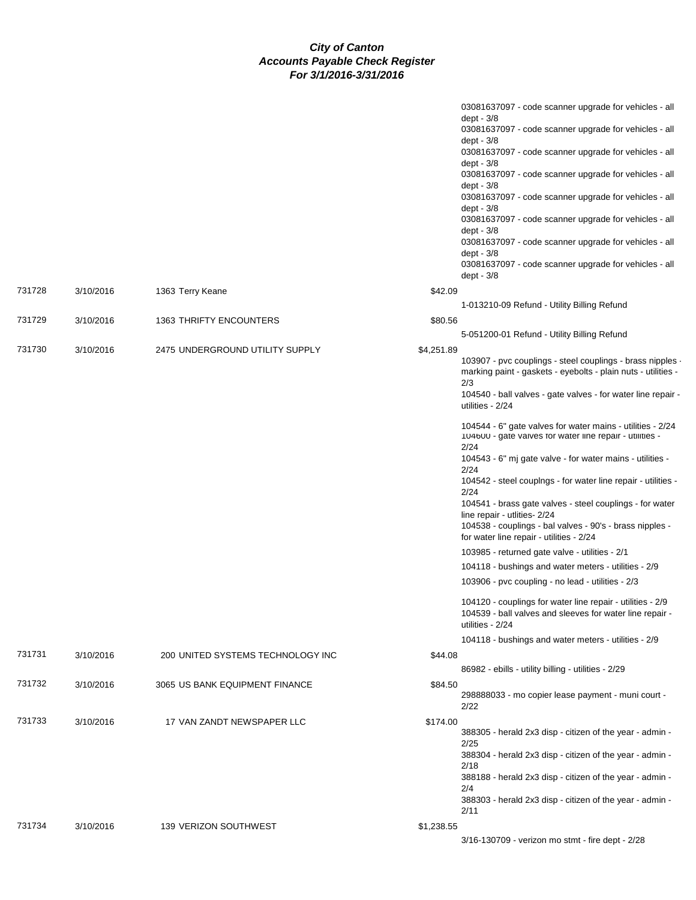|        |           |                                   | 03081637097 - code scanner upgrade for vehicles - all<br>dept - $3/8$<br>03081637097 - code scanner upgrade for vehicles - all             |  |
|--------|-----------|-----------------------------------|--------------------------------------------------------------------------------------------------------------------------------------------|--|
|        |           |                                   | dept - $3/8$                                                                                                                               |  |
|        |           |                                   | 03081637097 - code scanner upgrade for vehicles - all<br>dept - 3/8                                                                        |  |
|        |           |                                   | 03081637097 - code scanner upgrade for vehicles - all                                                                                      |  |
|        |           |                                   | dept - 3/8<br>03081637097 - code scanner upgrade for vehicles - all                                                                        |  |
|        |           |                                   | dept - $3/8$<br>03081637097 - code scanner upgrade for vehicles - all                                                                      |  |
|        |           |                                   | dept - $3/8$                                                                                                                               |  |
|        |           |                                   | 03081637097 - code scanner upgrade for vehicles - all<br>dept - $3/8$                                                                      |  |
|        |           |                                   | 03081637097 - code scanner upgrade for vehicles - all                                                                                      |  |
|        |           |                                   | dept - $3/8$                                                                                                                               |  |
| 731728 | 3/10/2016 | 1363 Terry Keane                  | \$42.09                                                                                                                                    |  |
| 731729 |           |                                   | 1-013210-09 Refund - Utility Billing Refund                                                                                                |  |
|        | 3/10/2016 | 1363 THRIFTY ENCOUNTERS           | \$80.56<br>5-051200-01 Refund - Utility Billing Refund                                                                                     |  |
| 731730 | 3/10/2016 | 2475 UNDERGROUND UTILITY SUPPLY   | \$4,251.89                                                                                                                                 |  |
|        |           |                                   | 103907 - pvc couplings - steel couplings - brass nipples<br>marking paint - gaskets - eyebolts - plain nuts - utilities -<br>2/3           |  |
|        |           |                                   | 104540 - ball valves - gate valves - for water line repair -<br>utilities - 2/24                                                           |  |
|        |           |                                   | 104544 - 6" gate valves for water mains - utilities - 2/24<br>104600 - gate valves for water line repair - utilities -                     |  |
|        |           |                                   | 2/24<br>104543 - 6" mj gate valve - for water mains - utilities -<br>2/24                                                                  |  |
|        |           |                                   | 104542 - steel couplngs - for water line repair - utilities -<br>2/24                                                                      |  |
|        |           |                                   | 104541 - brass gate valves - steel couplings - for water<br>line repair - utlities- 2/24                                                   |  |
|        |           |                                   | 104538 - couplings - bal valves - 90's - brass nipples -<br>for water line repair - utilities - 2/24                                       |  |
|        |           |                                   | 103985 - returned gate valve - utilities - 2/1                                                                                             |  |
|        |           |                                   | 104118 - bushings and water meters - utilities - 2/9                                                                                       |  |
|        |           |                                   | 103906 - pvc coupling - no lead - utilities - 2/3                                                                                          |  |
|        |           |                                   | 104120 - couplings for water line repair - utilities - 2/9<br>104539 - ball valves and sleeves for water line repair -<br>utilities - 2/24 |  |
|        |           |                                   | 104118 - bushings and water meters - utilities - 2/9                                                                                       |  |
| 731731 | 3/10/2016 | 200 UNITED SYSTEMS TECHNOLOGY INC | \$44.08                                                                                                                                    |  |
|        |           |                                   | 86982 - ebills - utility billing - utilities - 2/29                                                                                        |  |
| 731732 | 3/10/2016 | 3065 US BANK EQUIPMENT FINANCE    | \$84.50<br>298888033 - mo copier lease payment - muni court -<br>2/22                                                                      |  |
| 731733 | 3/10/2016 | 17 VAN ZANDT NEWSPAPER LLC        | \$174.00<br>388305 - herald 2x3 disp - citizen of the year - admin -<br>2/25                                                               |  |
|        |           |                                   | 388304 - herald 2x3 disp - citizen of the year - admin -<br>2/18                                                                           |  |
|        |           |                                   | 388188 - herald 2x3 disp - citizen of the year - admin -<br>2/4                                                                            |  |
|        |           |                                   | 388303 - herald 2x3 disp - citizen of the year - admin -<br>2/11                                                                           |  |
| 731734 | 3/10/2016 | 139 VERIZON SOUTHWEST             | \$1,238.55                                                                                                                                 |  |
|        |           |                                   | 3/16-130709 - verizon mo stmt - fire dept - 2/28                                                                                           |  |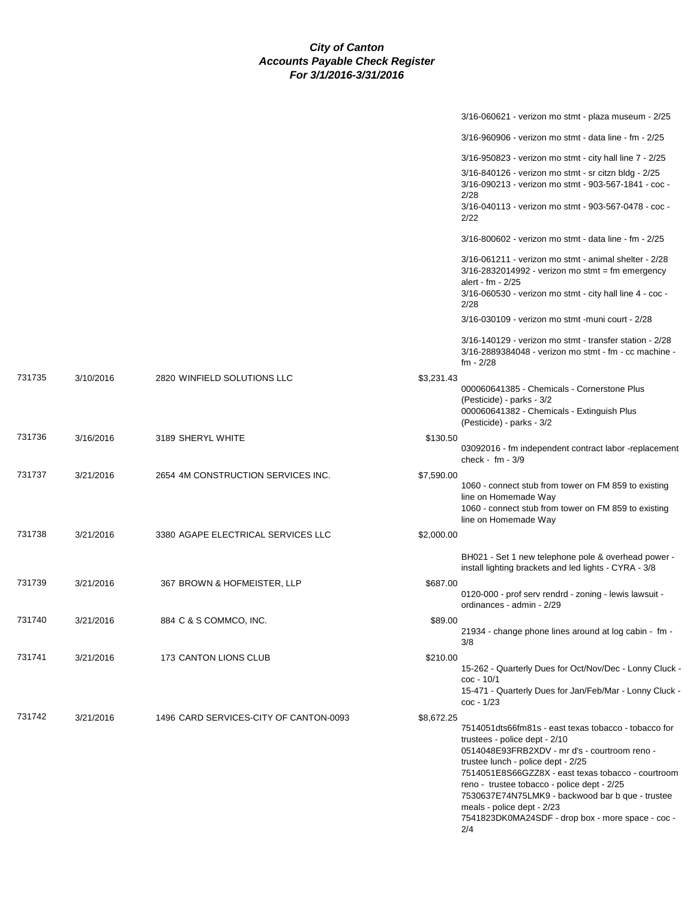|        |           |                                        | 3/16-060621 - verizon mo stmt - plaza museum - 2/25                                                                                                                                                                                                                               |
|--------|-----------|----------------------------------------|-----------------------------------------------------------------------------------------------------------------------------------------------------------------------------------------------------------------------------------------------------------------------------------|
|        |           |                                        | 3/16-960906 - verizon mo stmt - data line - fm - 2/25                                                                                                                                                                                                                             |
|        |           |                                        | 3/16-950823 - verizon mo stmt - city hall line 7 - 2/25                                                                                                                                                                                                                           |
|        |           |                                        | 3/16-840126 - verizon mo stmt - sr citzn bldg - 2/25<br>3/16-090213 - verizon mo stmt - 903-567-1841 - coc -<br>2/28                                                                                                                                                              |
|        |           |                                        | 3/16-040113 - verizon mo stmt - 903-567-0478 - coc -<br>2/22                                                                                                                                                                                                                      |
|        |           |                                        | $3/16 - 800602$ - verizon mo stmt - data line - fm - 2/25                                                                                                                                                                                                                         |
|        |           |                                        | 3/16-061211 - verizon mo stmt - animal shelter - 2/28<br>$3/16 - 2832014992 -$ verizon mo stmt = fm emergency<br>alert - fm - 2/25<br>3/16-060530 - verizon mo stmt - city hall line 4 - coc -                                                                                    |
|        |           |                                        | 2/28                                                                                                                                                                                                                                                                              |
|        |           |                                        | 3/16-030109 - verizon mo stmt -muni court - 2/28                                                                                                                                                                                                                                  |
|        |           |                                        | $3/16 - 140129$ - verizon mo stmt - transfer station - $2/28$<br>3/16-2889384048 - verizon mo stmt - fm - cc machine -<br>$fm - 2/28$                                                                                                                                             |
| 731735 | 3/10/2016 | 2820 WINFIELD SOLUTIONS LLC            | \$3,231.43                                                                                                                                                                                                                                                                        |
|        |           |                                        | 000060641385 - Chemicals - Cornerstone Plus<br>(Pesticide) - parks - 3/2<br>000060641382 - Chemicals - Extinguish Plus<br>(Pesticide) - parks - 3/2                                                                                                                               |
| 731736 | 3/16/2016 | 3189 SHERYL WHITE                      | \$130.50                                                                                                                                                                                                                                                                          |
|        |           |                                        | 03092016 - fm independent contract labor -replacement<br>check - $fm - 3/9$                                                                                                                                                                                                       |
| 731737 | 3/21/2016 | 2654 4M CONSTRUCTION SERVICES INC.     | \$7,590.00<br>1060 - connect stub from tower on FM 859 to existing<br>line on Homemade Way<br>1060 - connect stub from tower on FM 859 to existing<br>line on Homemade Way                                                                                                        |
| 731738 | 3/21/2016 | 3380 AGAPE ELECTRICAL SERVICES LLC     | \$2,000.00                                                                                                                                                                                                                                                                        |
|        |           |                                        | BH021 - Set 1 new telephone pole & overhead power -<br>install lighting brackets and led lights - CYRA - 3/8                                                                                                                                                                      |
| 731739 | 3/21/2016 | 367 BROWN & HOFMEISTER, LLP            | \$687.00<br>0120-000 - prof serv rendrd - zoning - lewis lawsuit -<br>ordinances - admin - 2/29                                                                                                                                                                                   |
| 731740 | 3/21/2016 | 884 C & S COMMCO, INC.                 | \$89.00                                                                                                                                                                                                                                                                           |
|        |           |                                        | 21934 - change phone lines around at log cabin - fm -<br>3/8                                                                                                                                                                                                                      |
| 731741 | 3/21/2016 | 173 CANTON LIONS CLUB                  | \$210.00<br>15-262 - Quarterly Dues for Oct/Nov/Dec - Lonny Cluck -<br>$\text{coc} - 10/1$                                                                                                                                                                                        |
|        |           |                                        | 15-471 - Quarterly Dues for Jan/Feb/Mar - Lonny Cluck -<br>$\text{coc} - \frac{1}{23}$                                                                                                                                                                                            |
| 731742 | 3/21/2016 | 1496 CARD SERVICES-CITY OF CANTON-0093 | \$8,672.25                                                                                                                                                                                                                                                                        |
|        |           |                                        | 7514051dts66fm81s - east texas tobacco - tobacco for<br>trustees - police dept - 2/10<br>0514048E93FRB2XDV - mr d's - courtroom reno -<br>trustee lunch - police dept - 2/25<br>7514051E8S66GZZ8X - east texas tobacco - courtroom<br>reno - trustee tobacco - police dept - 2/25 |
|        |           |                                        | 7530637E74N75LMK9 - backwood bar b que - trustee<br>meals - police dept - 2/23<br>7541823DK0MA24SDF - drop box - more space - coc -<br>2/4                                                                                                                                        |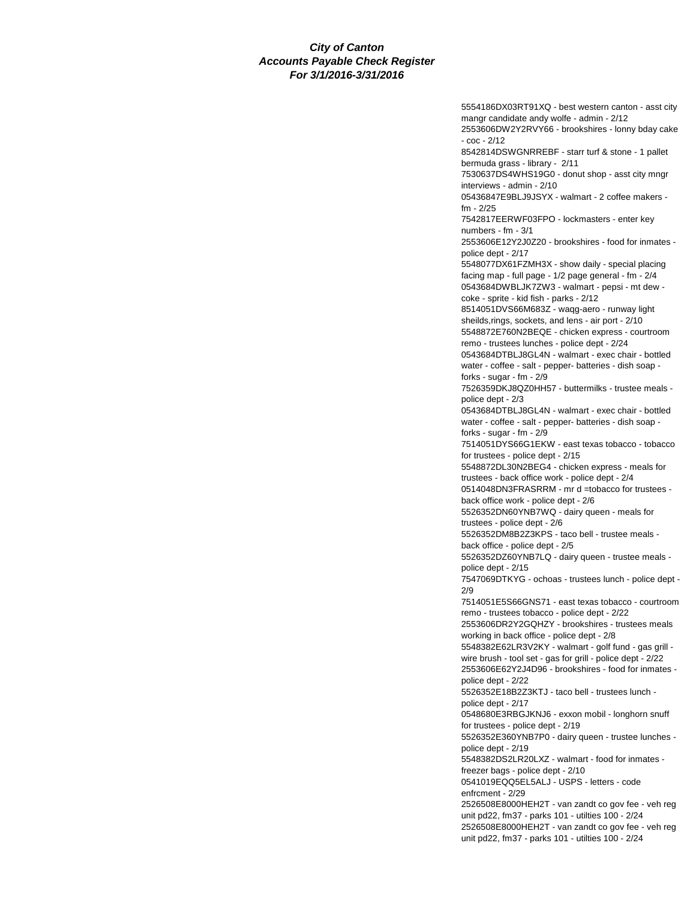5554186DX03RT91XQ - best western canton - asst city mangr candidate andy wolfe - admin - 2/12 2553606DW2Y2RVY66 - brookshires - lonny bday cake - coc - 2/12 8542814DSWGNRREBF - starr turf & stone - 1 pallet bermuda grass - library - 2/11 7530637DS4WHS19G0 - donut shop - asst city mngr interviews - admin - 2/10 05436847E9BLJ9JSYX - walmart - 2 coffee makers fm - 2/25 7542817EERWF03FPO - lockmasters - enter key numbers - fm - 3/1 2553606E12Y2J0Z20 - brookshires - food for inmates police dept - 2/17 5548077DX61FZMH3X - show daily - special placing facing map - full page - 1/2 page general - fm - 2/4 0543684DWBLJK7ZW3 - walmart - pepsi - mt dew coke - sprite - kid fish - parks - 2/12 8514051DVS66M683Z - waqg-aero - runway light sheilds,rings, sockets, and lens - air port - 2/10 5548872E760N2BEQE - chicken express - courtroom remo - trustees lunches - police dept - 2/24 0543684DTBLJ8GL4N - walmart - exec chair - bottled water - coffee - salt - pepper- batteries - dish soap forks - sugar - fm - 2/9 7526359DKJ8QZ0HH57 - buttermilks - trustee meals police dept - 2/3 0543684DTBLJ8GL4N - walmart - exec chair - bottled water - coffee - salt - pepper- batteries - dish soap forks - sugar - fm - 2/9 7514051DYS66G1EKW - east texas tobacco - tobacco for trustees - police dept - 2/15 5548872DL30N2BEG4 - chicken express - meals for trustees - back office work - police dept - 2/4 0514048DN3FRASRRM - mr d =tobacco for trustees back office work - police dept - 2/6 5526352DN60YNB7WQ - dairy queen - meals for trustees - police dept - 2/6 5526352DM8B2Z3KPS - taco bell - trustee meals back office - police dept - 2/5 5526352DZ60YNB7LQ - dairy queen - trustee meals police dept - 2/15 7547069DTKYG - ochoas - trustees lunch - police dept - 2/9 7514051E5S66GNS71 - east texas tobacco - courtroom remo - trustees tobacco - police dept - 2/22 2553606DR2Y2GQHZY - brookshires - trustees meals working in back office - police dept - 2/8 5548382E62LR3V2KY - walmart - golf fund - gas grill wire brush - tool set - gas for grill - police dept - 2/22 2553606E62Y2J4D96 - brookshires - food for inmates police dept - 2/22 5526352E18B2Z3KTJ - taco bell - trustees lunch police dept - 2/17 0548680E3RBGJKNJ6 - exxon mobil - longhorn snuff for trustees - police dept - 2/19 5526352E360YNB7P0 - dairy queen - trustee lunches police dept - 2/19 5548382DS2LR20LXZ - walmart - food for inmates freezer bags - police dept - 2/10 0541019EQQ5EL5ALJ - USPS - letters - code enfrcment - 2/29 2526508E8000HEH2T - van zandt co gov fee - veh reg unit pd22, fm37 - parks 101 - utilties 100 - 2/24 2526508E8000HEH2T - van zandt co gov fee - veh reg unit pd22, fm37 - parks 101 - utilties 100 - 2/24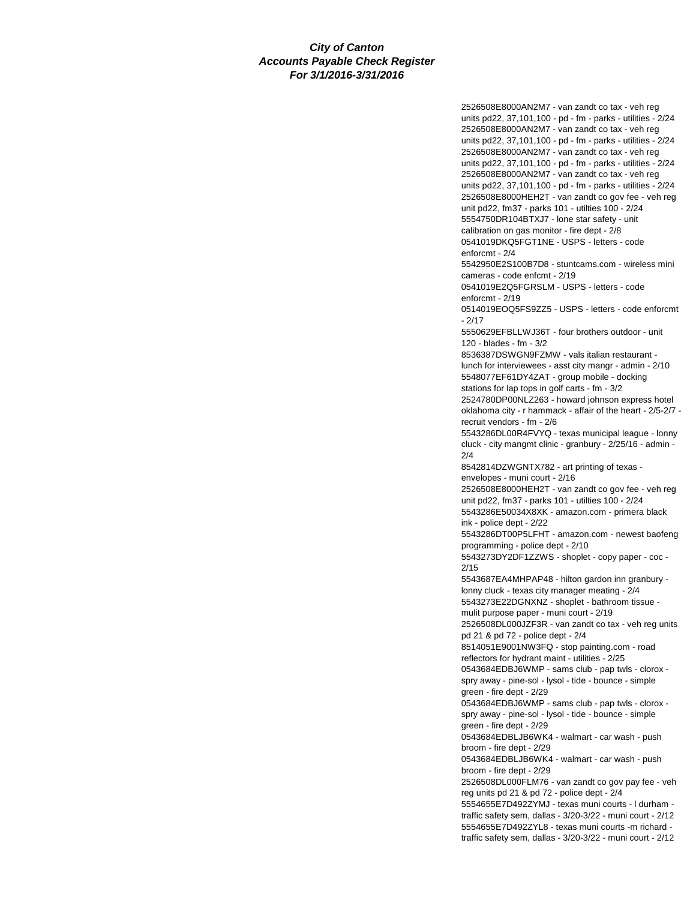2526508E8000AN2M7 - van zandt co tax - veh reg units pd22, 37,101,100 - pd - fm - parks - utilities - 2/24 2526508E8000AN2M7 - van zandt co tax - veh reg units pd22, 37,101,100 - pd - fm - parks - utilities - 2/24 2526508E8000AN2M7 - van zandt co tax - veh reg units pd22, 37,101,100 - pd - fm - parks - utilities - 2/24 2526508E8000AN2M7 - van zandt co tax - veh reg units pd22, 37,101,100 - pd - fm - parks - utilities - 2/24 2526508E8000HEH2T - van zandt co gov fee - veh reg unit pd22, fm37 - parks 101 - utilties 100 - 2/24 5554750DR104BTXJ7 - lone star safety - unit calibration on gas monitor - fire dept - 2/8 0541019DKQ5FGT1NE - USPS - letters - code enforcmt - 2/4 5542950E2S100B7D8 - stuntcams.com - wireless mini cameras - code enfcmt - 2/19 0541019E2Q5FGRSLM - USPS - letters - code enforcmt - 2/19 0514019EOQ5FS9ZZ5 - USPS - letters - code enforcmt - 2/17 5550629EFBLLWJ36T - four brothers outdoor - unit 120 - blades - fm - 3/2 8536387DSWGN9FZMW - vals italian restaurant lunch for interviewees - asst city mangr - admin - 2/10 5548077EF61DY4ZAT - group mobile - docking stations for lap tops in golf carts - fm - 3/2 2524780DP00NLZ263 - howard johnson express hotel oklahoma city - r hammack - affair of the heart - 2/5-2/7 recruit vendors - fm - 2/6 5543286DL00R4FVYQ - texas municipal league - lonny cluck - city mangmt clinic - granbury - 2/25/16 - admin - 2/4 8542814DZWGNTX782 - art printing of texas envelopes - muni court - 2/16 2526508E8000HEH2T - van zandt co gov fee - veh reg unit pd22, fm37 - parks 101 - utilties 100 - 2/24 5543286E50034X8XK - amazon.com - primera black ink - police dept - 2/22 5543286DT00P5LFHT - amazon.com - newest baofeng programming - police dept - 2/10 5543273DY2DF1ZZWS - shoplet - copy paper - coc - 2/15 5543687EA4MHPAP48 - hilton gardon inn granbury lonny cluck - texas city manager meating - 2/4 5543273E22DGNXNZ - shoplet - bathroom tissue mulit purpose paper - muni court - 2/19 2526508DL000JZF3R - van zandt co tax - veh reg units pd 21 & pd 72 - police dept - 2/4 8514051E9001NW3FQ - stop painting.com - road reflectors for hydrant maint - utilities - 2/25 0543684EDBJ6WMP - sams club - pap twls - clorox spry away - pine-sol - lysol - tide - bounce - simple green - fire dept - 2/29 0543684EDBJ6WMP - sams club - pap twls - clorox spry away - pine-sol - lysol - tide - bounce - simple green - fire dept - 2/29 0543684EDBLJB6WK4 - walmart - car wash - push broom - fire dept - 2/29 0543684EDBLJB6WK4 - walmart - car wash - push broom - fire dept - 2/29 2526508DL000FLM76 - van zandt co gov pay fee - veh reg units pd 21 & pd 72 - police dept - 2/4 5554655E7D492ZYMJ - texas muni courts - l durham traffic safety sem, dallas - 3/20-3/22 - muni court - 2/12 5554655E7D492ZYL8 - texas muni courts -m richard -

traffic safety sem, dallas - 3/20-3/22 - muni court - 2/12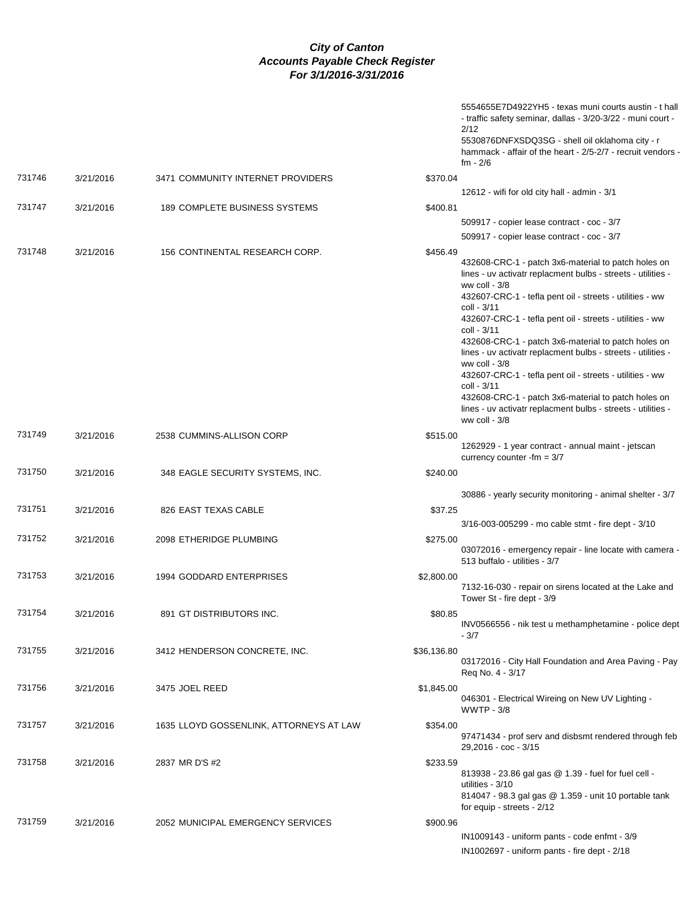|        |           |                                         | 2/12<br>fm - 2/6                                                                                               | 5554655E7D4922YH5 - texas muni courts austin - t hall<br>- traffic safety seminar, dallas - 3/20-3/22 - muni court -<br>5530876DNFXSDQ3SG - shell oil oklahoma city - r<br>hammack - affair of the heart - 2/5-2/7 - recruit vendors                                                                                                                                                                                                                                                                                                                  |
|--------|-----------|-----------------------------------------|----------------------------------------------------------------------------------------------------------------|-------------------------------------------------------------------------------------------------------------------------------------------------------------------------------------------------------------------------------------------------------------------------------------------------------------------------------------------------------------------------------------------------------------------------------------------------------------------------------------------------------------------------------------------------------|
| 731746 | 3/21/2016 | 3471 COMMUNITY INTERNET PROVIDERS       | \$370.04                                                                                                       |                                                                                                                                                                                                                                                                                                                                                                                                                                                                                                                                                       |
|        |           |                                         |                                                                                                                | 12612 - wifi for old city hall - admin - 3/1                                                                                                                                                                                                                                                                                                                                                                                                                                                                                                          |
| 731747 | 3/21/2016 | 189 COMPLETE BUSINESS SYSTEMS           | \$400.81                                                                                                       |                                                                                                                                                                                                                                                                                                                                                                                                                                                                                                                                                       |
|        |           |                                         |                                                                                                                | 509917 - copier lease contract - coc - 3/7                                                                                                                                                                                                                                                                                                                                                                                                                                                                                                            |
|        |           |                                         |                                                                                                                | 509917 - copier lease contract - coc - 3/7                                                                                                                                                                                                                                                                                                                                                                                                                                                                                                            |
| 731748 | 3/21/2016 | 156 CONTINENTAL RESEARCH CORP.          | \$456.49<br>ww coll - $3/8$<br>coll - 3/11<br>coll - 3/11<br>ww coll - $3/8$<br>coll - 3/11<br>ww coll - $3/8$ | 432608-CRC-1 - patch 3x6-material to patch holes on<br>lines - uv activatr replacment bulbs - streets - utilities -<br>432607-CRC-1 - tefla pent oil - streets - utilities - ww<br>432607-CRC-1 - tefla pent oil - streets - utilities - ww<br>432608-CRC-1 - patch 3x6-material to patch holes on<br>lines - uv activatr replacment bulbs - streets - utilities -<br>432607-CRC-1 - tefla pent oil - streets - utilities - ww<br>432608-CRC-1 - patch 3x6-material to patch holes on<br>lines - uv activatr replacment bulbs - streets - utilities - |
| 731749 | 3/21/2016 | 2538 CUMMINS-ALLISON CORP               | \$515.00                                                                                                       | 1262929 - 1 year contract - annual maint - jetscan<br>currency counter $\text{-}fm = 3/7$                                                                                                                                                                                                                                                                                                                                                                                                                                                             |
| 731750 | 3/21/2016 | 348 EAGLE SECURITY SYSTEMS, INC.        | \$240.00                                                                                                       |                                                                                                                                                                                                                                                                                                                                                                                                                                                                                                                                                       |
| 731751 | 3/21/2016 | 826 EAST TEXAS CABLE                    | \$37.25                                                                                                        | 30886 - yearly security monitoring - animal shelter - 3/7                                                                                                                                                                                                                                                                                                                                                                                                                                                                                             |
|        |           |                                         |                                                                                                                | 3/16-003-005299 - mo cable stmt - fire dept - 3/10                                                                                                                                                                                                                                                                                                                                                                                                                                                                                                    |
| 731752 | 3/21/2016 | 2098 ETHERIDGE PLUMBING                 | \$275.00                                                                                                       | 03072016 - emergency repair - line locate with camera -<br>513 buffalo - utilities - 3/7                                                                                                                                                                                                                                                                                                                                                                                                                                                              |
| 731753 | 3/21/2016 | 1994 GODDARD ENTERPRISES                | \$2,800.00                                                                                                     | 7132-16-030 - repair on sirens located at the Lake and<br>Tower St - fire dept - 3/9                                                                                                                                                                                                                                                                                                                                                                                                                                                                  |
| 731754 | 3/21/2016 | 891 GT DISTRIBUTORS INC.                | \$80.85<br>$-3/7$                                                                                              | INV0566556 - nik test u methamphetamine - police dept                                                                                                                                                                                                                                                                                                                                                                                                                                                                                                 |
| 731755 | 3/21/2016 | 3412 HENDERSON CONCRETE, INC.           | \$36,136.80<br>Req No. 4 - 3/17                                                                                | 03172016 - City Hall Foundation and Area Paving - Pay                                                                                                                                                                                                                                                                                                                                                                                                                                                                                                 |
| 731756 | 3/21/2016 | 3475 JOEL REED                          | \$1,845.00<br><b>WWTP - 3/8</b>                                                                                | 046301 - Electrical Wireing on New UV Lighting -                                                                                                                                                                                                                                                                                                                                                                                                                                                                                                      |
| 731757 | 3/21/2016 | 1635 LLOYD GOSSENLINK, ATTORNEYS AT LAW | \$354.00                                                                                                       | 97471434 - prof serv and disbsmt rendered through feb<br>29,2016 - coc - 3/15                                                                                                                                                                                                                                                                                                                                                                                                                                                                         |
| 731758 | 3/21/2016 | 2837 MR D'S #2                          | \$233.59<br>utilities - 3/10                                                                                   | 813938 - 23.86 gal gas @ 1.39 - fuel for fuel cell -<br>814047 - 98.3 gal gas @ 1.359 - unit 10 portable tank                                                                                                                                                                                                                                                                                                                                                                                                                                         |
|        |           |                                         |                                                                                                                | for equip - streets - 2/12                                                                                                                                                                                                                                                                                                                                                                                                                                                                                                                            |
| 731759 | 3/21/2016 | 2052 MUNICIPAL EMERGENCY SERVICES       | \$900.96                                                                                                       | IN1009143 - uniform pants - code enfmt - 3/9<br>IN1002697 - uniform pants - fire dept - 2/18                                                                                                                                                                                                                                                                                                                                                                                                                                                          |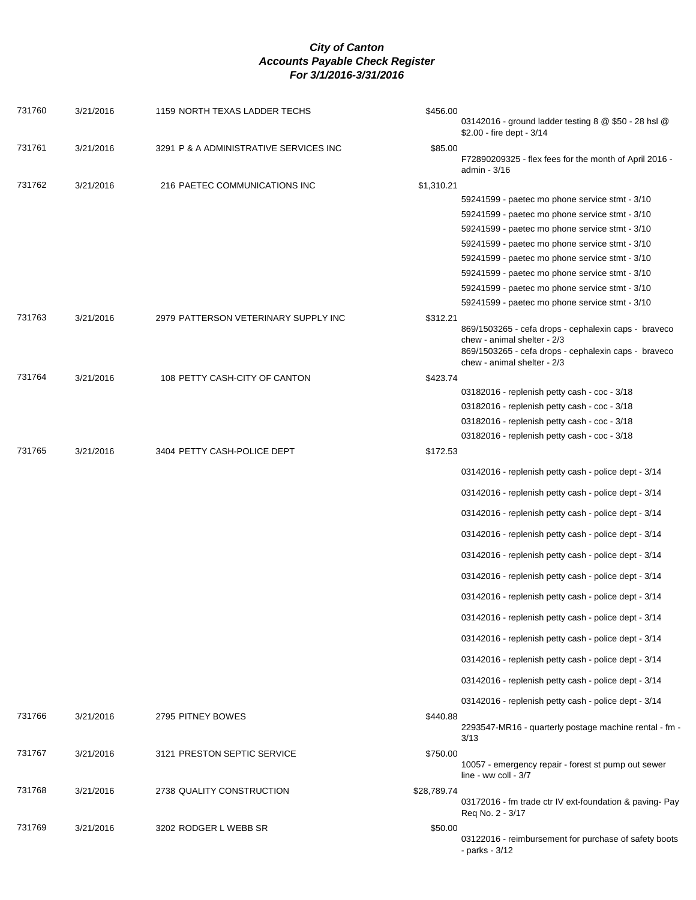| \$2.00 - fire dept - 3/14<br>731761<br>3/21/2016<br>3291 P & A ADMINISTRATIVE SERVICES INC<br>\$85.00<br>F72890209325 - flex fees for the month of April 2016 -<br>admin - 3/16<br>731762<br>3/21/2016<br>216 PAETEC COMMUNICATIONS INC<br>\$1,310.21<br>59241599 - paetec mo phone service stmt - 3/10<br>59241599 - paetec mo phone service stmt - 3/10<br>59241599 - paetec mo phone service stmt - 3/10<br>59241599 - paetec mo phone service stmt - 3/10<br>59241599 - paetec mo phone service stmt - 3/10<br>59241599 - paetec mo phone service stmt - 3/10<br>59241599 - paetec mo phone service stmt - 3/10<br>59241599 - paetec mo phone service stmt - 3/10<br>731763<br>3/21/2016<br>2979 PATTERSON VETERINARY SUPPLY INC<br>\$312.21<br>869/1503265 - cefa drops - cephalexin caps - braveco<br>chew - animal shelter - 2/3<br>869/1503265 - cefa drops - cephalexin caps - braveco<br>chew - animal shelter - 2/3<br>731764<br>3/21/2016<br>\$423.74<br>108 PETTY CASH-CITY OF CANTON<br>03182016 - replenish petty cash - coc - 3/18<br>03182016 - replenish petty cash - coc - 3/18<br>03182016 - replenish petty cash - coc - 3/18<br>03182016 - replenish petty cash - coc - 3/18<br>731765<br>3/21/2016<br>3404 PETTY CASH-POLICE DEPT<br>\$172.53<br>03142016 - replenish petty cash - police dept - 3/14<br>03142016 - replenish petty cash - police dept - 3/14<br>03142016 - replenish petty cash - police dept - 3/14<br>03142016 - replenish petty cash - police dept - 3/14<br>03142016 - replenish petty cash - police dept - 3/14<br>03142016 - replenish petty cash - police dept - 3/14<br>03142016 - replenish petty cash - police dept - 3/14<br>03142016 - replenish petty cash - police dept - 3/14<br>03142016 - replenish petty cash - police dept - 3/14<br>03142016 - replenish petty cash - police dept - 3/14<br>03142016 - replenish petty cash - police dept - 3/14<br>03142016 - replenish petty cash - police dept - 3/14 |  |
|----------------------------------------------------------------------------------------------------------------------------------------------------------------------------------------------------------------------------------------------------------------------------------------------------------------------------------------------------------------------------------------------------------------------------------------------------------------------------------------------------------------------------------------------------------------------------------------------------------------------------------------------------------------------------------------------------------------------------------------------------------------------------------------------------------------------------------------------------------------------------------------------------------------------------------------------------------------------------------------------------------------------------------------------------------------------------------------------------------------------------------------------------------------------------------------------------------------------------------------------------------------------------------------------------------------------------------------------------------------------------------------------------------------------------------------------------------------------------------------------------------------------------------------------------------------------------------------------------------------------------------------------------------------------------------------------------------------------------------------------------------------------------------------------------------------------------------------------------------------------------------------------------------------------------------------------------------------------|--|
|                                                                                                                                                                                                                                                                                                                                                                                                                                                                                                                                                                                                                                                                                                                                                                                                                                                                                                                                                                                                                                                                                                                                                                                                                                                                                                                                                                                                                                                                                                                                                                                                                                                                                                                                                                                                                                                                                                                                                                      |  |
|                                                                                                                                                                                                                                                                                                                                                                                                                                                                                                                                                                                                                                                                                                                                                                                                                                                                                                                                                                                                                                                                                                                                                                                                                                                                                                                                                                                                                                                                                                                                                                                                                                                                                                                                                                                                                                                                                                                                                                      |  |
|                                                                                                                                                                                                                                                                                                                                                                                                                                                                                                                                                                                                                                                                                                                                                                                                                                                                                                                                                                                                                                                                                                                                                                                                                                                                                                                                                                                                                                                                                                                                                                                                                                                                                                                                                                                                                                                                                                                                                                      |  |
|                                                                                                                                                                                                                                                                                                                                                                                                                                                                                                                                                                                                                                                                                                                                                                                                                                                                                                                                                                                                                                                                                                                                                                                                                                                                                                                                                                                                                                                                                                                                                                                                                                                                                                                                                                                                                                                                                                                                                                      |  |
|                                                                                                                                                                                                                                                                                                                                                                                                                                                                                                                                                                                                                                                                                                                                                                                                                                                                                                                                                                                                                                                                                                                                                                                                                                                                                                                                                                                                                                                                                                                                                                                                                                                                                                                                                                                                                                                                                                                                                                      |  |
|                                                                                                                                                                                                                                                                                                                                                                                                                                                                                                                                                                                                                                                                                                                                                                                                                                                                                                                                                                                                                                                                                                                                                                                                                                                                                                                                                                                                                                                                                                                                                                                                                                                                                                                                                                                                                                                                                                                                                                      |  |
|                                                                                                                                                                                                                                                                                                                                                                                                                                                                                                                                                                                                                                                                                                                                                                                                                                                                                                                                                                                                                                                                                                                                                                                                                                                                                                                                                                                                                                                                                                                                                                                                                                                                                                                                                                                                                                                                                                                                                                      |  |
|                                                                                                                                                                                                                                                                                                                                                                                                                                                                                                                                                                                                                                                                                                                                                                                                                                                                                                                                                                                                                                                                                                                                                                                                                                                                                                                                                                                                                                                                                                                                                                                                                                                                                                                                                                                                                                                                                                                                                                      |  |
|                                                                                                                                                                                                                                                                                                                                                                                                                                                                                                                                                                                                                                                                                                                                                                                                                                                                                                                                                                                                                                                                                                                                                                                                                                                                                                                                                                                                                                                                                                                                                                                                                                                                                                                                                                                                                                                                                                                                                                      |  |
|                                                                                                                                                                                                                                                                                                                                                                                                                                                                                                                                                                                                                                                                                                                                                                                                                                                                                                                                                                                                                                                                                                                                                                                                                                                                                                                                                                                                                                                                                                                                                                                                                                                                                                                                                                                                                                                                                                                                                                      |  |
|                                                                                                                                                                                                                                                                                                                                                                                                                                                                                                                                                                                                                                                                                                                                                                                                                                                                                                                                                                                                                                                                                                                                                                                                                                                                                                                                                                                                                                                                                                                                                                                                                                                                                                                                                                                                                                                                                                                                                                      |  |
|                                                                                                                                                                                                                                                                                                                                                                                                                                                                                                                                                                                                                                                                                                                                                                                                                                                                                                                                                                                                                                                                                                                                                                                                                                                                                                                                                                                                                                                                                                                                                                                                                                                                                                                                                                                                                                                                                                                                                                      |  |
|                                                                                                                                                                                                                                                                                                                                                                                                                                                                                                                                                                                                                                                                                                                                                                                                                                                                                                                                                                                                                                                                                                                                                                                                                                                                                                                                                                                                                                                                                                                                                                                                                                                                                                                                                                                                                                                                                                                                                                      |  |
|                                                                                                                                                                                                                                                                                                                                                                                                                                                                                                                                                                                                                                                                                                                                                                                                                                                                                                                                                                                                                                                                                                                                                                                                                                                                                                                                                                                                                                                                                                                                                                                                                                                                                                                                                                                                                                                                                                                                                                      |  |
|                                                                                                                                                                                                                                                                                                                                                                                                                                                                                                                                                                                                                                                                                                                                                                                                                                                                                                                                                                                                                                                                                                                                                                                                                                                                                                                                                                                                                                                                                                                                                                                                                                                                                                                                                                                                                                                                                                                                                                      |  |
|                                                                                                                                                                                                                                                                                                                                                                                                                                                                                                                                                                                                                                                                                                                                                                                                                                                                                                                                                                                                                                                                                                                                                                                                                                                                                                                                                                                                                                                                                                                                                                                                                                                                                                                                                                                                                                                                                                                                                                      |  |
|                                                                                                                                                                                                                                                                                                                                                                                                                                                                                                                                                                                                                                                                                                                                                                                                                                                                                                                                                                                                                                                                                                                                                                                                                                                                                                                                                                                                                                                                                                                                                                                                                                                                                                                                                                                                                                                                                                                                                                      |  |
|                                                                                                                                                                                                                                                                                                                                                                                                                                                                                                                                                                                                                                                                                                                                                                                                                                                                                                                                                                                                                                                                                                                                                                                                                                                                                                                                                                                                                                                                                                                                                                                                                                                                                                                                                                                                                                                                                                                                                                      |  |
|                                                                                                                                                                                                                                                                                                                                                                                                                                                                                                                                                                                                                                                                                                                                                                                                                                                                                                                                                                                                                                                                                                                                                                                                                                                                                                                                                                                                                                                                                                                                                                                                                                                                                                                                                                                                                                                                                                                                                                      |  |
|                                                                                                                                                                                                                                                                                                                                                                                                                                                                                                                                                                                                                                                                                                                                                                                                                                                                                                                                                                                                                                                                                                                                                                                                                                                                                                                                                                                                                                                                                                                                                                                                                                                                                                                                                                                                                                                                                                                                                                      |  |
|                                                                                                                                                                                                                                                                                                                                                                                                                                                                                                                                                                                                                                                                                                                                                                                                                                                                                                                                                                                                                                                                                                                                                                                                                                                                                                                                                                                                                                                                                                                                                                                                                                                                                                                                                                                                                                                                                                                                                                      |  |
|                                                                                                                                                                                                                                                                                                                                                                                                                                                                                                                                                                                                                                                                                                                                                                                                                                                                                                                                                                                                                                                                                                                                                                                                                                                                                                                                                                                                                                                                                                                                                                                                                                                                                                                                                                                                                                                                                                                                                                      |  |
|                                                                                                                                                                                                                                                                                                                                                                                                                                                                                                                                                                                                                                                                                                                                                                                                                                                                                                                                                                                                                                                                                                                                                                                                                                                                                                                                                                                                                                                                                                                                                                                                                                                                                                                                                                                                                                                                                                                                                                      |  |
|                                                                                                                                                                                                                                                                                                                                                                                                                                                                                                                                                                                                                                                                                                                                                                                                                                                                                                                                                                                                                                                                                                                                                                                                                                                                                                                                                                                                                                                                                                                                                                                                                                                                                                                                                                                                                                                                                                                                                                      |  |
|                                                                                                                                                                                                                                                                                                                                                                                                                                                                                                                                                                                                                                                                                                                                                                                                                                                                                                                                                                                                                                                                                                                                                                                                                                                                                                                                                                                                                                                                                                                                                                                                                                                                                                                                                                                                                                                                                                                                                                      |  |
|                                                                                                                                                                                                                                                                                                                                                                                                                                                                                                                                                                                                                                                                                                                                                                                                                                                                                                                                                                                                                                                                                                                                                                                                                                                                                                                                                                                                                                                                                                                                                                                                                                                                                                                                                                                                                                                                                                                                                                      |  |
|                                                                                                                                                                                                                                                                                                                                                                                                                                                                                                                                                                                                                                                                                                                                                                                                                                                                                                                                                                                                                                                                                                                                                                                                                                                                                                                                                                                                                                                                                                                                                                                                                                                                                                                                                                                                                                                                                                                                                                      |  |
|                                                                                                                                                                                                                                                                                                                                                                                                                                                                                                                                                                                                                                                                                                                                                                                                                                                                                                                                                                                                                                                                                                                                                                                                                                                                                                                                                                                                                                                                                                                                                                                                                                                                                                                                                                                                                                                                                                                                                                      |  |
|                                                                                                                                                                                                                                                                                                                                                                                                                                                                                                                                                                                                                                                                                                                                                                                                                                                                                                                                                                                                                                                                                                                                                                                                                                                                                                                                                                                                                                                                                                                                                                                                                                                                                                                                                                                                                                                                                                                                                                      |  |
|                                                                                                                                                                                                                                                                                                                                                                                                                                                                                                                                                                                                                                                                                                                                                                                                                                                                                                                                                                                                                                                                                                                                                                                                                                                                                                                                                                                                                                                                                                                                                                                                                                                                                                                                                                                                                                                                                                                                                                      |  |
| 731766<br>3/21/2016<br>2795 PITNEY BOWES<br>\$440.88<br>2293547-MR16 - quarterly postage machine rental - fm -<br>3/13                                                                                                                                                                                                                                                                                                                                                                                                                                                                                                                                                                                                                                                                                                                                                                                                                                                                                                                                                                                                                                                                                                                                                                                                                                                                                                                                                                                                                                                                                                                                                                                                                                                                                                                                                                                                                                               |  |
| 731767<br>3/21/2016<br>3121 PRESTON SEPTIC SERVICE<br>\$750.00<br>10057 - emergency repair - forest st pump out sewer                                                                                                                                                                                                                                                                                                                                                                                                                                                                                                                                                                                                                                                                                                                                                                                                                                                                                                                                                                                                                                                                                                                                                                                                                                                                                                                                                                                                                                                                                                                                                                                                                                                                                                                                                                                                                                                |  |
| line - ww coll - 3/7                                                                                                                                                                                                                                                                                                                                                                                                                                                                                                                                                                                                                                                                                                                                                                                                                                                                                                                                                                                                                                                                                                                                                                                                                                                                                                                                                                                                                                                                                                                                                                                                                                                                                                                                                                                                                                                                                                                                                 |  |
| 731768<br>3/21/2016<br>\$28,789.74<br>2738 QUALITY CONSTRUCTION<br>03172016 - fm trade ctr IV ext-foundation & paving- Pay<br>Req No. 2 - 3/17                                                                                                                                                                                                                                                                                                                                                                                                                                                                                                                                                                                                                                                                                                                                                                                                                                                                                                                                                                                                                                                                                                                                                                                                                                                                                                                                                                                                                                                                                                                                                                                                                                                                                                                                                                                                                       |  |
| 731769<br>3/21/2016<br>3202 RODGER L WEBB SR<br>\$50.00<br>03122016 - reimbursement for purchase of safety boots<br>- parks - 3/12                                                                                                                                                                                                                                                                                                                                                                                                                                                                                                                                                                                                                                                                                                                                                                                                                                                                                                                                                                                                                                                                                                                                                                                                                                                                                                                                                                                                                                                                                                                                                                                                                                                                                                                                                                                                                                   |  |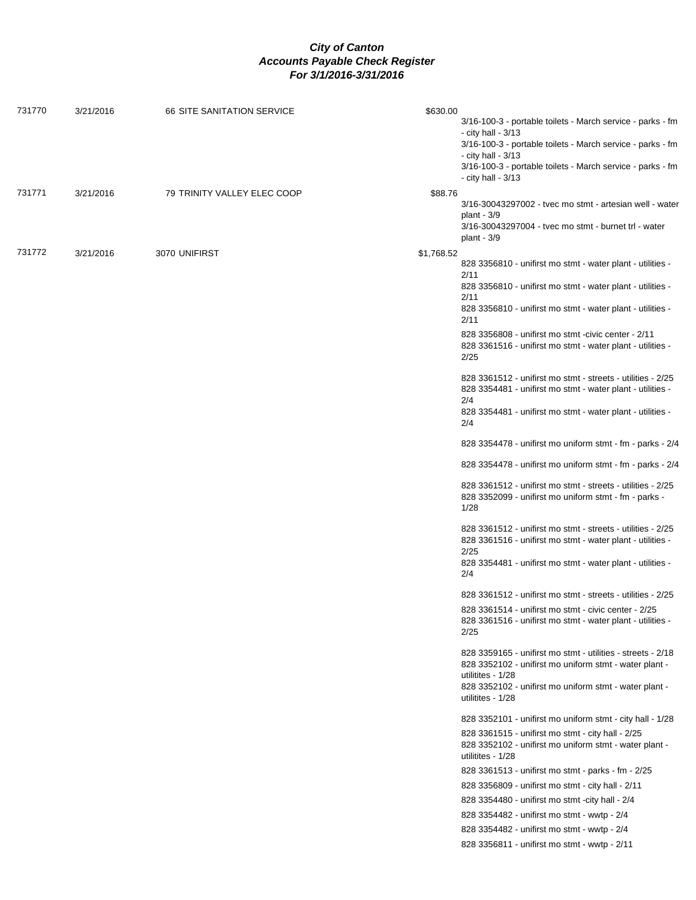| 731770 | 3/21/2016 | 66 SITE SANITATION SERVICE  | \$630.00   |                                                                                                                              |
|--------|-----------|-----------------------------|------------|------------------------------------------------------------------------------------------------------------------------------|
|        |           |                             |            | 3/16-100-3 - portable toilets - March service - parks - fm                                                                   |
|        |           |                             |            | - city hall - 3/13<br>3/16-100-3 - portable toilets - March service - parks - fm                                             |
|        |           |                             |            | - city hall - 3/13                                                                                                           |
|        |           |                             |            | 3/16-100-3 - portable toilets - March service - parks - fm                                                                   |
|        |           |                             |            | - city hall - 3/13                                                                                                           |
| 731771 | 3/21/2016 | 79 TRINITY VALLEY ELEC COOP | \$88.76    | 3/16-30043297002 - tvec mo stmt - artesian well - water                                                                      |
|        |           |                             |            | plant - $3/9$                                                                                                                |
|        |           |                             |            | 3/16-30043297004 - tyec mo stmt - burnet trl - water<br>plant - $3/9$                                                        |
| 731772 | 3/21/2016 | 3070 UNIFIRST               | \$1,768.52 |                                                                                                                              |
|        |           |                             |            | 828 3356810 - unifirst mo stmt - water plant - utilities -<br>2/11                                                           |
|        |           |                             |            | 828 3356810 - unifirst mo stmt - water plant - utilities -                                                                   |
|        |           |                             |            | 2/11                                                                                                                         |
|        |           |                             |            | 828 3356810 - unifirst mo stmt - water plant - utilities -<br>2/11                                                           |
|        |           |                             |            | 828 3356808 - unifirst mo stmt -civic center - 2/11                                                                          |
|        |           |                             |            | 828 3361516 - unifirst mo stmt - water plant - utilities -<br>2/25                                                           |
|        |           |                             |            | 828 3361512 - unifirst mo stmt - streets - utilities - 2/25                                                                  |
|        |           |                             |            | 828 3354481 - unifirst mo stmt - water plant - utilities -                                                                   |
|        |           |                             |            | 2/4<br>828 3354481 - unifirst mo stmt - water plant - utilities -                                                            |
|        |           |                             |            | 2/4                                                                                                                          |
|        |           |                             |            | 828 3354478 - unifirst mo uniform stmt - fm - parks - 2/4                                                                    |
|        |           |                             |            | 828 3354478 - unifirst mo uniform stmt - fm - parks - 2/4                                                                    |
|        |           |                             |            | 828 3361512 - unifirst mo stmt - streets - utilities - 2/25<br>828 3352099 - unifirst mo uniform stmt - fm - parks -<br>1/28 |
|        |           |                             |            | 828 3361512 - unifirst mo stmt - streets - utilities - 2/25<br>828 3361516 - unifirst mo stmt - water plant - utilities -    |
|        |           |                             |            | 2/25                                                                                                                         |
|        |           |                             |            | 828 3354481 - unifirst mo stmt - water plant - utilities -<br>2/4                                                            |
|        |           |                             |            | 828 3361512 - unifirst mo stmt - streets - utilities - 2/25                                                                  |
|        |           |                             |            | 828 3361514 - unifirst mo stmt - civic center - 2/25<br>828 3361516 - unifirst mo stmt - water plant - utilities -<br>2/25   |
|        |           |                             |            | 828 3359165 - unifirst mo stmt - utilities - streets - 2/18<br>828 3352102 - unifirst mo uniform stmt - water plant -        |
|        |           |                             |            | utilitites - 1/28                                                                                                            |
|        |           |                             |            | 828 3352102 - unifirst mo uniform stmt - water plant -<br>utilitites - 1/28                                                  |
|        |           |                             |            | 828 3352101 - unifirst mo uniform stmt - city hall - 1/28                                                                    |
|        |           |                             |            | 828 3361515 - unifirst mo stmt - city hall - 2/25                                                                            |
|        |           |                             |            | 828 3352102 - unifirst mo uniform stmt - water plant -<br>utilitites - 1/28                                                  |
|        |           |                             |            | 828 3361513 - unifirst mo stmt - parks - fm - 2/25                                                                           |
|        |           |                             |            | 828 3356809 - unifirst mo stmt - city hall - 2/11                                                                            |
|        |           |                             |            | 828 3354480 - unifirst mo stmt -city hall - 2/4                                                                              |
|        |           |                             |            | 828 3354482 - unifirst mo stmt - wwtp - 2/4                                                                                  |
|        |           |                             |            | 828 3354482 - unifirst mo stmt - wwtp - 2/4                                                                                  |
|        |           |                             |            | 828 3356811 - unifirst mo stmt - wwtp - 2/11                                                                                 |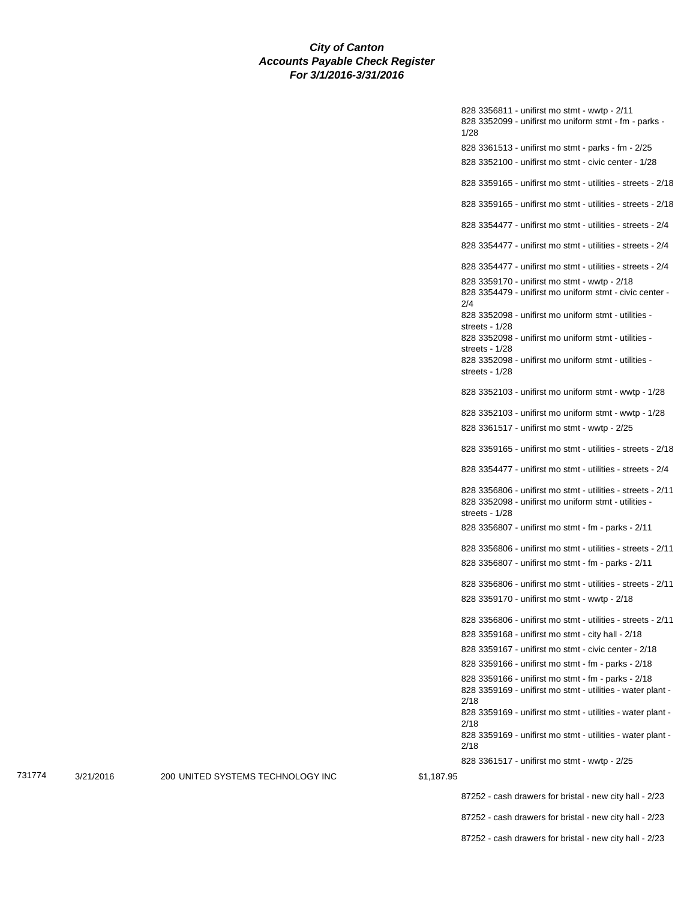828 3356811 - unifirst mo stmt - wwtp - 2/11 828 3352099 - unifirst mo uniform stmt - fm - parks - 1/28 828 3361513 - unifirst mo stmt - parks - fm - 2/25 828 3352100 - unifirst mo stmt - civic center - 1/28 828 3359165 - unifirst mo stmt - utilities - streets - 2/18 828 3359165 - unifirst mo stmt - utilities - streets - 2/18 828 3354477 - unifirst mo stmt - utilities - streets - 2/4 828 3354477 - unifirst mo stmt - utilities - streets - 2/4 828 3354477 - unifirst mo stmt - utilities - streets - 2/4 828 3359170 - unifirst mo stmt - wwtp - 2/18 828 3354479 - unifirst mo uniform stmt - civic center - 2/4 828 3352098 - unifirst mo uniform stmt - utilities streets - 1/28 828 3352098 - unifirst mo uniform stmt - utilities streets - 1/28 828 3352098 - unifirst mo uniform stmt - utilities streets - 1/28 828 3352103 - unifirst mo uniform stmt - wwtp - 1/28 828 3352103 - unifirst mo uniform stmt - wwtp - 1/28 828 3361517 - unifirst mo stmt - wwtp - 2/25 828 3359165 - unifirst mo stmt - utilities - streets - 2/18 828 3354477 - unifirst mo stmt - utilities - streets - 2/4 828 3356806 - unifirst mo stmt - utilities - streets - 2/11 828 3352098 - unifirst mo uniform stmt - utilities streets - 1/28 828 3356807 - unifirst mo stmt - fm - parks - 2/11 828 3356806 - unifirst mo stmt - utilities - streets - 2/11 828 3356807 - unifirst mo stmt - fm - parks - 2/11 828 3356806 - unifirst mo stmt - utilities - streets - 2/11 828 3359170 - unifirst mo stmt - wwtp - 2/18 828 3356806 - unifirst mo stmt - utilities - streets - 2/11 828 3359168 - unifirst mo stmt - city hall - 2/18 828 3359167 - unifirst mo stmt - civic center - 2/18 828 3359166 - unifirst mo stmt - fm - parks - 2/18 828 3359166 - unifirst mo stmt - fm - parks - 2/18 828 3359169 - unifirst mo stmt - utilities - water plant - 2/18 828 3359169 - unifirst mo stmt - utilities - water plant - 2/18 828 3359169 - unifirst mo stmt - utilities - water plant - 2/18 828 3361517 - unifirst mo stmt - wwtp - 2/25 87252 - cash drawers for bristal - new city hall - 2/23

731774 3/21/2016 200 UNITED SYSTEMS TECHNOLOGY INC \$1,187.95

87252 - cash drawers for bristal - new city hall - 2/23 87252 - cash drawers for bristal - new city hall - 2/23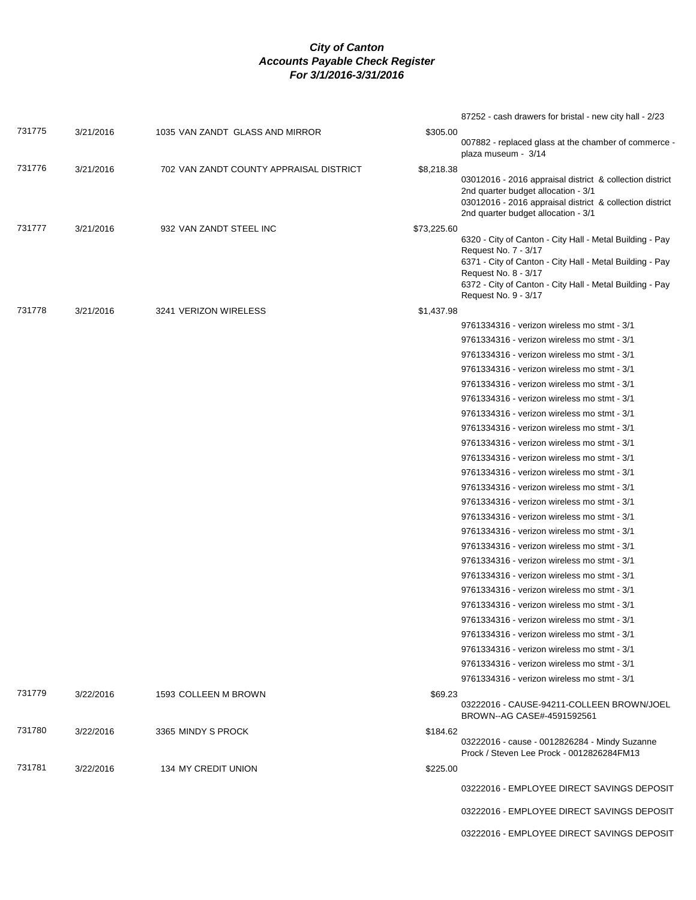|        |           |                                         |             | 87252 - cash drawers for bristal - new city hall - 2/23                                                                                                                                            |
|--------|-----------|-----------------------------------------|-------------|----------------------------------------------------------------------------------------------------------------------------------------------------------------------------------------------------|
| 731775 | 3/21/2016 | 1035 VAN ZANDT GLASS AND MIRROR         | \$305.00    |                                                                                                                                                                                                    |
|        |           |                                         |             | 007882 - replaced glass at the chamber of commerce -<br>plaza museum - 3/14                                                                                                                        |
| 731776 | 3/21/2016 | 702 VAN ZANDT COUNTY APPRAISAL DISTRICT | \$8,218.38  | 03012016 - 2016 appraisal district & collection district<br>2nd quarter budget allocation - 3/1<br>03012016 - 2016 appraisal district & collection district<br>2nd quarter budget allocation - 3/1 |
| 731777 | 3/21/2016 | 932 VAN ZANDT STEEL INC                 | \$73,225.60 |                                                                                                                                                                                                    |
|        |           |                                         |             | 6320 - City of Canton - City Hall - Metal Building - Pay<br>Request No. 7 - 3/17                                                                                                                   |
|        |           |                                         |             | 6371 - City of Canton - City Hall - Metal Building - Pay<br>Request No. 8 - 3/17<br>6372 - City of Canton - City Hall - Metal Building - Pay                                                       |
|        |           |                                         |             | Request No. 9 - 3/17                                                                                                                                                                               |
| 731778 | 3/21/2016 | 3241 VERIZON WIRELESS                   | \$1,437.98  |                                                                                                                                                                                                    |
|        |           |                                         |             | 9761334316 - verizon wireless mo stmt - 3/1                                                                                                                                                        |
|        |           |                                         |             | 9761334316 - verizon wireless mo stmt - 3/1                                                                                                                                                        |
|        |           |                                         |             | 9761334316 - verizon wireless mo stmt - 3/1                                                                                                                                                        |
|        |           |                                         |             | 9761334316 - verizon wireless mo stmt - 3/1                                                                                                                                                        |
|        |           |                                         |             | 9761334316 - verizon wireless mo stmt - 3/1                                                                                                                                                        |
|        |           |                                         |             | 9761334316 - verizon wireless mo stmt - 3/1                                                                                                                                                        |
|        |           |                                         |             | 9761334316 - verizon wireless mo stmt - 3/1                                                                                                                                                        |
|        |           |                                         |             | 9761334316 - verizon wireless mo stmt - 3/1                                                                                                                                                        |
|        |           |                                         |             | 9761334316 - verizon wireless mo stmt - 3/1                                                                                                                                                        |
|        |           |                                         |             | 9761334316 - verizon wireless mo stmt - 3/1                                                                                                                                                        |
|        |           |                                         |             | 9761334316 - verizon wireless mo stmt - 3/1                                                                                                                                                        |
|        |           |                                         |             | 9761334316 - verizon wireless mo stmt - 3/1                                                                                                                                                        |
|        |           |                                         |             | 9761334316 - verizon wireless mo stmt - 3/1                                                                                                                                                        |
|        |           |                                         |             | 9761334316 - verizon wireless mo stmt - 3/1                                                                                                                                                        |
|        |           |                                         |             | 9761334316 - verizon wireless mo stmt - 3/1                                                                                                                                                        |
|        |           |                                         |             | 9761334316 - verizon wireless mo stmt - 3/1                                                                                                                                                        |
|        |           |                                         |             | 9761334316 - verizon wireless mo stmt - 3/1                                                                                                                                                        |
|        |           |                                         |             | 9761334316 - verizon wireless mo stmt - 3/1                                                                                                                                                        |
|        |           |                                         |             | 9761334316 - verizon wireless mo stmt - 3/1                                                                                                                                                        |
|        |           |                                         |             | 9761334316 - verizon wireless mo stmt - 3/1                                                                                                                                                        |
|        |           |                                         |             | 9761334316 - verizon wireless mo stmt - 3/1                                                                                                                                                        |
|        |           |                                         |             | 9761334316 - verizon wireless mo stmt - 3/1                                                                                                                                                        |
|        |           |                                         |             | 9761334316 - verizon wireless mo stmt - 3/1                                                                                                                                                        |
|        |           |                                         |             | 9761334316 - verizon wireless mo stmt - 3/1                                                                                                                                                        |
|        |           |                                         |             | 9761334316 - verizon wireless mo stmt - 3/1                                                                                                                                                        |
|        |           |                                         |             |                                                                                                                                                                                                    |
| 731779 | 3/22/2016 | 1593 COLLEEN M BROWN                    | \$69.23     | 03222016 - CAUSE-94211-COLLEEN BROWN/JOEL<br>BROWN--AG CASE#-4591592561                                                                                                                            |
| 731780 | 3/22/2016 | 3365 MINDY S PROCK                      | \$184.62    |                                                                                                                                                                                                    |
|        |           |                                         |             | 03222016 - cause - 0012826284 - Mindy Suzanne<br>Prock / Steven Lee Prock - 0012826284FM13                                                                                                         |
| 731781 | 3/22/2016 | 134 MY CREDIT UNION                     | \$225.00    |                                                                                                                                                                                                    |
|        |           |                                         |             | 03222016 - EMPLOYEE DIRECT SAVINGS DEPOSIT                                                                                                                                                         |
|        |           |                                         |             | 03222016 - EMPLOYEE DIRECT SAVINGS DEPOSIT                                                                                                                                                         |
|        |           |                                         |             | 03222016 - EMPLOYEE DIRECT SAVINGS DEPOSIT                                                                                                                                                         |